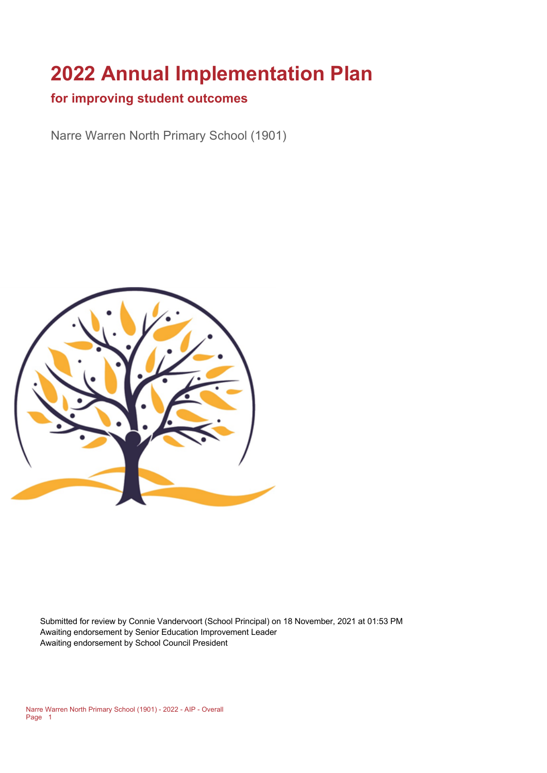# **2022 Annual Implementation Plan**

## **for improving student outcomes**

Narre Warren North Primary School (1901)



Submitted for review by Connie Vandervoort (School Principal) on 18 November, 2021 at 01:53 PM Awaiting endorsement by Senior Education Improvement Leader Awaiting endorsement by School Council President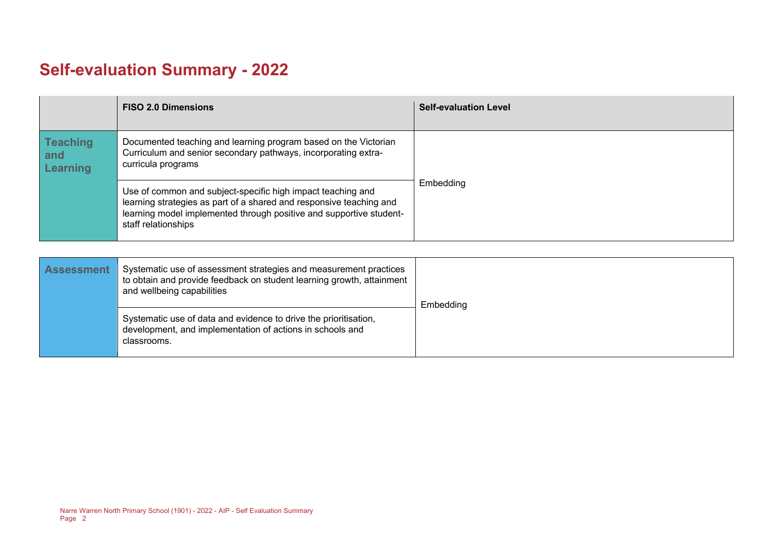# **Self-evaluation Summary - 2022**

|                                    | <b>FISO 2.0 Dimensions</b>                                                                                                                                                                                                       | <b>Self-evaluation Level</b> |
|------------------------------------|----------------------------------------------------------------------------------------------------------------------------------------------------------------------------------------------------------------------------------|------------------------------|
| <b>Teaching</b><br>and<br>Learning | Documented teaching and learning program based on the Victorian<br>Curriculum and senior secondary pathways, incorporating extra-<br>curricula programs                                                                          |                              |
|                                    | Use of common and subject-specific high impact teaching and<br>learning strategies as part of a shared and responsive teaching and<br>learning model implemented through positive and supportive student-<br>staff relationships | Embedding                    |

| <b>Assessment</b> | Systematic use of assessment strategies and measurement practices<br>to obtain and provide feedback on student learning growth, attainment<br>and wellbeing capabilities | Embedding |
|-------------------|--------------------------------------------------------------------------------------------------------------------------------------------------------------------------|-----------|
|                   | Systematic use of data and evidence to drive the prioritisation,<br>development, and implementation of actions in schools and<br>classrooms.                             |           |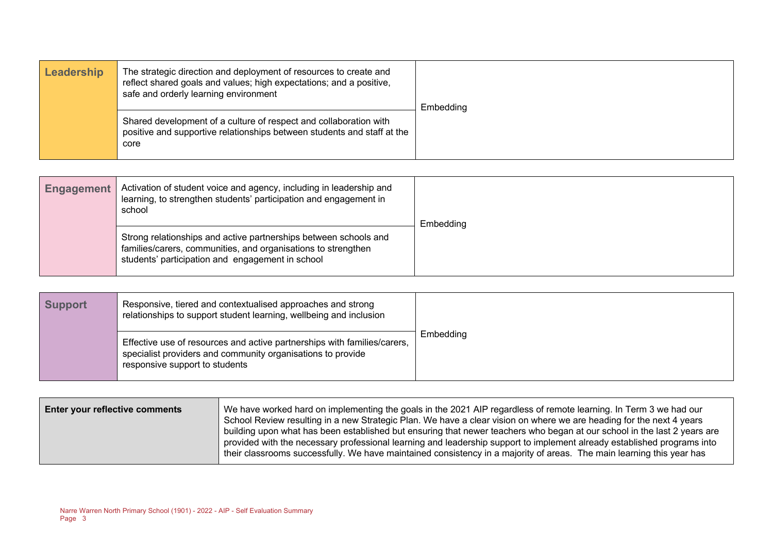| Leadership | The strategic direction and deployment of resources to create and<br>reflect shared goals and values; high expectations; and a positive,<br>safe and orderly learning environment | Embedding |
|------------|-----------------------------------------------------------------------------------------------------------------------------------------------------------------------------------|-----------|
|            | Shared development of a culture of respect and collaboration with<br>positive and supportive relationships between students and staff at the<br>core                              |           |

| Engagement | Activation of student voice and agency, including in leadership and<br>learning, to strengthen students' participation and engagement in<br>school                                    | Embedding |
|------------|---------------------------------------------------------------------------------------------------------------------------------------------------------------------------------------|-----------|
|            | Strong relationships and active partnerships between schools and<br>families/carers, communities, and organisations to strengthen<br>students' participation and engagement in school |           |

| <b>Support</b> | Responsive, tiered and contextualised approaches and strong<br>relationships to support student learning, wellbeing and inclusion                                         |           |
|----------------|---------------------------------------------------------------------------------------------------------------------------------------------------------------------------|-----------|
|                | Effective use of resources and active partnerships with families/carers,<br>specialist providers and community organisations to provide<br>responsive support to students | Embedding |

| <b>Enter your reflective comments</b> | We have worked hard on implementing the goals in the 2021 AIP regardless of remote learning. In Term 3 we had our<br>School Review resulting in a new Strategic Plan. We have a clear vision on where we are heading for the next 4 years<br>building upon what has been established but ensuring that newer teachers who began at our school in the last 2 years are |
|---------------------------------------|-----------------------------------------------------------------------------------------------------------------------------------------------------------------------------------------------------------------------------------------------------------------------------------------------------------------------------------------------------------------------|
|                                       | provided with the necessary professional learning and leadership support to implement already established programs into<br>their classrooms successfully. We have maintained consistency in a majority of areas. The main learning this year has                                                                                                                      |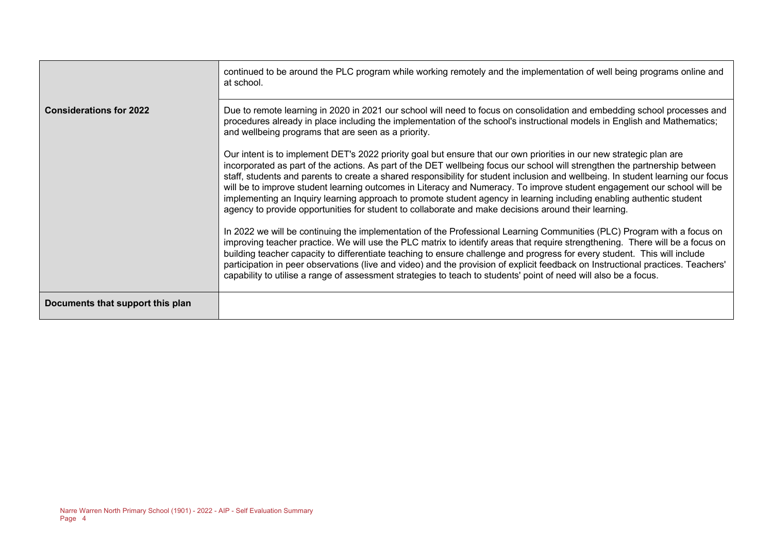|                                  | continued to be around the PLC program while working remotely and the implementation of well being programs online and<br>at school.                                                                                                                                                                                                                                                                                                                                                                                                                                                                                                                                                                                                                                                                                                                                          |  |
|----------------------------------|-------------------------------------------------------------------------------------------------------------------------------------------------------------------------------------------------------------------------------------------------------------------------------------------------------------------------------------------------------------------------------------------------------------------------------------------------------------------------------------------------------------------------------------------------------------------------------------------------------------------------------------------------------------------------------------------------------------------------------------------------------------------------------------------------------------------------------------------------------------------------------|--|
| <b>Considerations for 2022</b>   | Due to remote learning in 2020 in 2021 our school will need to focus on consolidation and embedding school processes and<br>procedures already in place including the implementation of the school's instructional models in English and Mathematics;<br>and wellbeing programs that are seen as a priority.<br>Our intent is to implement DET's 2022 priority goal but ensure that our own priorities in our new strategic plan are<br>incorporated as part of the actions. As part of the DET wellbeing focus our school will strengthen the partnership between<br>staff, students and parents to create a shared responsibility for student inclusion and wellbeing. In student learning our focus<br>will be to improve student learning outcomes in Literacy and Numeracy. To improve student engagement our school will be                                             |  |
|                                  | implementing an Inquiry learning approach to promote student agency in learning including enabling authentic student<br>agency to provide opportunities for student to collaborate and make decisions around their learning.<br>In 2022 we will be continuing the implementation of the Professional Learning Communities (PLC) Program with a focus on<br>improving teacher practice. We will use the PLC matrix to identify areas that require strengthening. There will be a focus on<br>building teacher capacity to differentiate teaching to ensure challenge and progress for every student. This will include<br>participation in peer observations (live and video) and the provision of explicit feedback on Instructional practices. Teachers'<br>capability to utilise a range of assessment strategies to teach to students' point of need will also be a focus. |  |
| Documents that support this plan |                                                                                                                                                                                                                                                                                                                                                                                                                                                                                                                                                                                                                                                                                                                                                                                                                                                                               |  |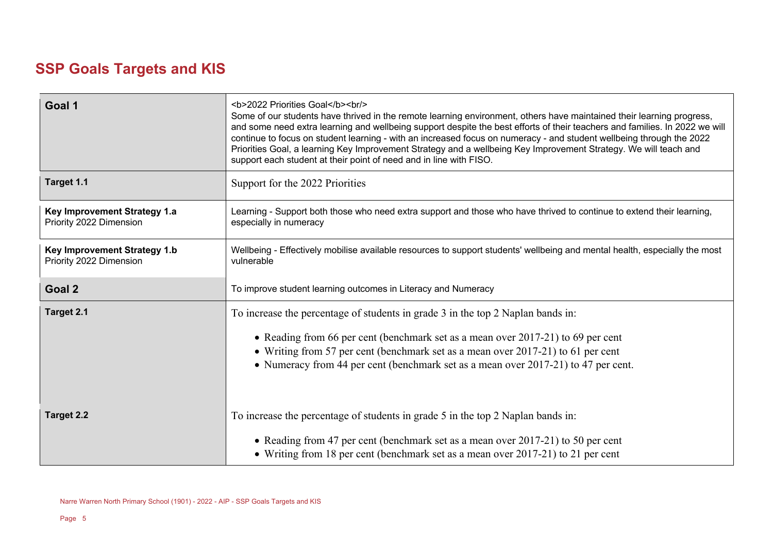# **SSP Goals Targets and KIS**

| Goal 1                                                  | <b>2022 Priorities Goal</b><br><br>Some of our students have thrived in the remote learning environment, others have maintained their learning progress,<br>and some need extra learning and wellbeing support despite the best efforts of their teachers and families. In 2022 we will<br>continue to focus on student learning - with an increased focus on numeracy - and student wellbeing through the 2022<br>Priorities Goal, a learning Key Improvement Strategy and a wellbeing Key Improvement Strategy. We will teach and<br>support each student at their point of need and in line with FISO. |  |
|---------------------------------------------------------|-----------------------------------------------------------------------------------------------------------------------------------------------------------------------------------------------------------------------------------------------------------------------------------------------------------------------------------------------------------------------------------------------------------------------------------------------------------------------------------------------------------------------------------------------------------------------------------------------------------|--|
| Target 1.1                                              | Support for the 2022 Priorities                                                                                                                                                                                                                                                                                                                                                                                                                                                                                                                                                                           |  |
| Key Improvement Strategy 1.a<br>Priority 2022 Dimension | Learning - Support both those who need extra support and those who have thrived to continue to extend their learning,<br>especially in numeracy                                                                                                                                                                                                                                                                                                                                                                                                                                                           |  |
| Key Improvement Strategy 1.b<br>Priority 2022 Dimension | Wellbeing - Effectively mobilise available resources to support students' wellbeing and mental health, especially the most<br>vulnerable                                                                                                                                                                                                                                                                                                                                                                                                                                                                  |  |
| Goal 2                                                  | To improve student learning outcomes in Literacy and Numeracy                                                                                                                                                                                                                                                                                                                                                                                                                                                                                                                                             |  |
| Target 2.1                                              | To increase the percentage of students in grade 3 in the top 2 Naplan bands in:<br>• Reading from 66 per cent (benchmark set as a mean over 2017-21) to 69 per cent<br>• Writing from 57 per cent (benchmark set as a mean over 2017-21) to 61 per cent<br>• Numeracy from 44 per cent (benchmark set as a mean over 2017-21) to 47 per cent.                                                                                                                                                                                                                                                             |  |
| <b>Target 2.2</b>                                       | To increase the percentage of students in grade 5 in the top 2 Naplan bands in:                                                                                                                                                                                                                                                                                                                                                                                                                                                                                                                           |  |
|                                                         | • Reading from 47 per cent (benchmark set as a mean over 2017-21) to 50 per cent<br>• Writing from 18 per cent (benchmark set as a mean over 2017-21) to 21 per cent                                                                                                                                                                                                                                                                                                                                                                                                                                      |  |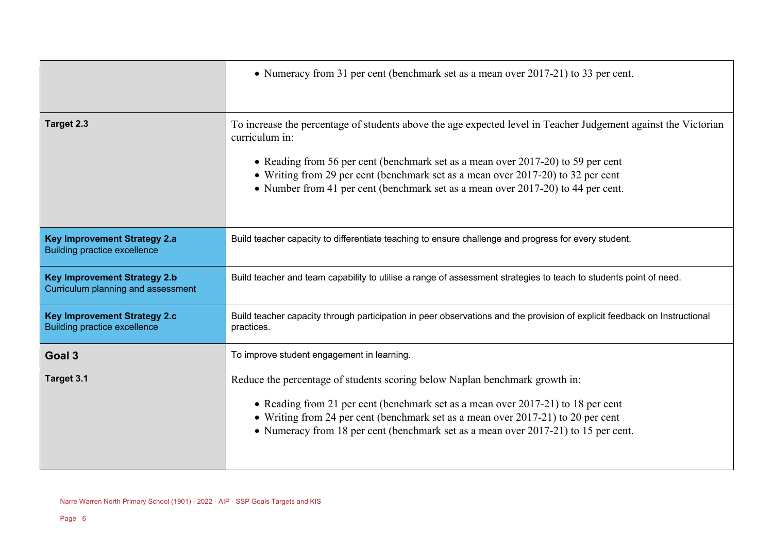|                                                                            | • Numeracy from 31 per cent (benchmark set as a mean over 2017-21) to 33 per cent.                                                                                                                                                                                                                                                                                                           |  |  |
|----------------------------------------------------------------------------|----------------------------------------------------------------------------------------------------------------------------------------------------------------------------------------------------------------------------------------------------------------------------------------------------------------------------------------------------------------------------------------------|--|--|
| Target 2.3                                                                 | To increase the percentage of students above the age expected level in Teacher Judgement against the Victorian<br>curriculum in:<br>• Reading from 56 per cent (benchmark set as a mean over 2017-20) to 59 per cent<br>• Writing from 29 per cent (benchmark set as a mean over 2017-20) to 32 per cent<br>• Number from 41 per cent (benchmark set as a mean over 2017-20) to 44 per cent. |  |  |
| <b>Key Improvement Strategy 2.a</b><br><b>Building practice excellence</b> | Build teacher capacity to differentiate teaching to ensure challenge and progress for every student.                                                                                                                                                                                                                                                                                         |  |  |
| <b>Key Improvement Strategy 2.b</b><br>Curriculum planning and assessment  | Build teacher and team capability to utilise a range of assessment strategies to teach to students point of need.                                                                                                                                                                                                                                                                            |  |  |
| <b>Key Improvement Strategy 2.c</b><br><b>Building practice excellence</b> | Build teacher capacity through participation in peer observations and the provision of explicit feedback on Instructional<br>practices.                                                                                                                                                                                                                                                      |  |  |
| Goal 3                                                                     | To improve student engagement in learning.                                                                                                                                                                                                                                                                                                                                                   |  |  |
| Target 3.1                                                                 | Reduce the percentage of students scoring below Naplan benchmark growth in:<br>• Reading from 21 per cent (benchmark set as a mean over 2017-21) to 18 per cent<br>• Writing from 24 per cent (benchmark set as a mean over 2017-21) to 20 per cent<br>• Numeracy from 18 per cent (benchmark set as a mean over 2017-21) to 15 per cent.                                                    |  |  |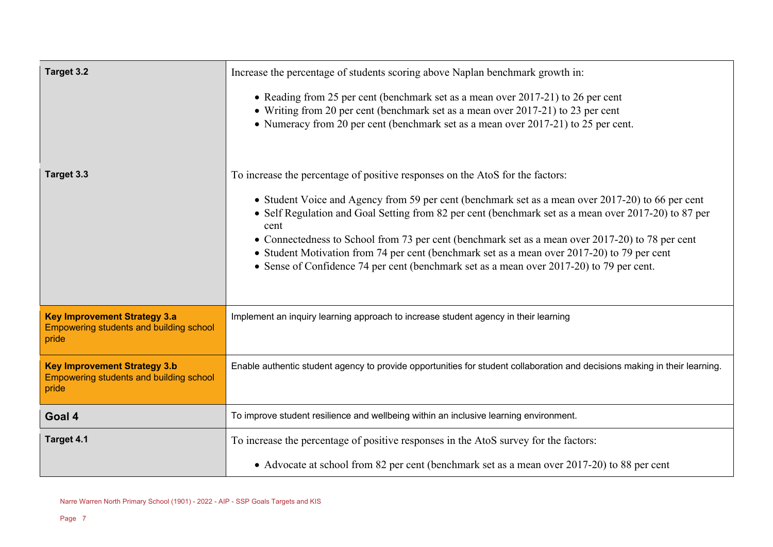| Target 3.2                                                                                     | Increase the percentage of students scoring above Naplan benchmark growth in:<br>• Reading from 25 per cent (benchmark set as a mean over 2017-21) to 26 per cent<br>• Writing from 20 per cent (benchmark set as a mean over 2017-21) to 23 per cent<br>• Numeracy from 20 per cent (benchmark set as a mean over 2017-21) to 25 per cent.                                                                                                                                                                                                                                                       |  |
|------------------------------------------------------------------------------------------------|---------------------------------------------------------------------------------------------------------------------------------------------------------------------------------------------------------------------------------------------------------------------------------------------------------------------------------------------------------------------------------------------------------------------------------------------------------------------------------------------------------------------------------------------------------------------------------------------------|--|
| Target 3.3                                                                                     | To increase the percentage of positive responses on the AtoS for the factors:<br>• Student Voice and Agency from 59 per cent (benchmark set as a mean over 2017-20) to 66 per cent<br>• Self Regulation and Goal Setting from 82 per cent (benchmark set as a mean over 2017-20) to 87 per<br>cent<br>• Connectedness to School from 73 per cent (benchmark set as a mean over 2017-20) to 78 per cent<br>• Student Motivation from 74 per cent (benchmark set as a mean over 2017-20) to 79 per cent<br>• Sense of Confidence 74 per cent (benchmark set as a mean over 2017-20) to 79 per cent. |  |
| <b>Key Improvement Strategy 3.a</b><br><b>Empowering students and building school</b><br>pride | Implement an inquiry learning approach to increase student agency in their learning                                                                                                                                                                                                                                                                                                                                                                                                                                                                                                               |  |
| <b>Key Improvement Strategy 3.b</b><br><b>Empowering students and building school</b><br>pride | Enable authentic student agency to provide opportunities for student collaboration and decisions making in their learning.                                                                                                                                                                                                                                                                                                                                                                                                                                                                        |  |
| Goal 4                                                                                         | To improve student resilience and wellbeing within an inclusive learning environment.                                                                                                                                                                                                                                                                                                                                                                                                                                                                                                             |  |
| Target 4.1                                                                                     | To increase the percentage of positive responses in the AtoS survey for the factors:<br>• Advocate at school from 82 per cent (benchmark set as a mean over 2017-20) to 88 per cent                                                                                                                                                                                                                                                                                                                                                                                                               |  |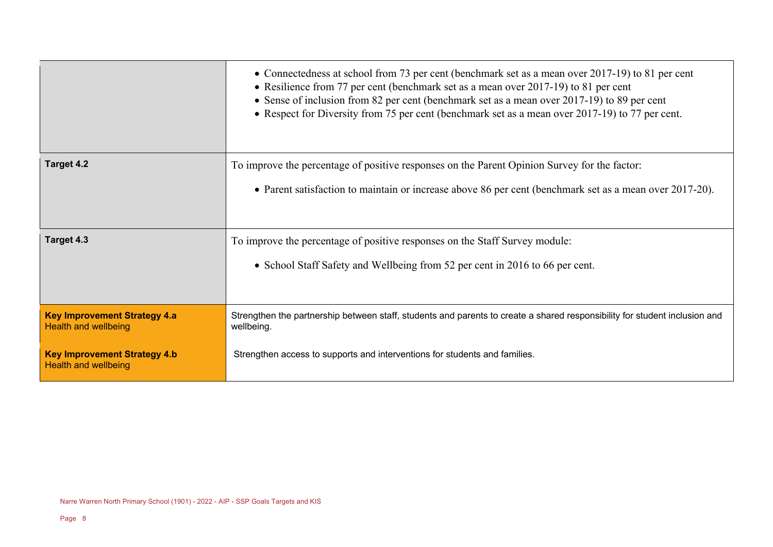|                                                                    | • Connectedness at school from 73 per cent (benchmark set as a mean over 2017-19) to 81 per cent<br>• Resilience from 77 per cent (benchmark set as a mean over 2017-19) to 81 per cent<br>• Sense of inclusion from 82 per cent (benchmark set as a mean over 2017-19) to 89 per cent<br>• Respect for Diversity from 75 per cent (benchmark set as a mean over 2017-19) to 77 per cent. |  |
|--------------------------------------------------------------------|-------------------------------------------------------------------------------------------------------------------------------------------------------------------------------------------------------------------------------------------------------------------------------------------------------------------------------------------------------------------------------------------|--|
| <b>Target 4.2</b>                                                  | To improve the percentage of positive responses on the Parent Opinion Survey for the factor:                                                                                                                                                                                                                                                                                              |  |
|                                                                    | • Parent satisfaction to maintain or increase above 86 per cent (benchmark set as a mean over 2017-20).                                                                                                                                                                                                                                                                                   |  |
| Target 4.3                                                         | To improve the percentage of positive responses on the Staff Survey module:                                                                                                                                                                                                                                                                                                               |  |
|                                                                    | • School Staff Safety and Wellbeing from 52 per cent in 2016 to 66 per cent.                                                                                                                                                                                                                                                                                                              |  |
| <b>Key Improvement Strategy 4.a</b><br><b>Health and wellbeing</b> | Strengthen the partnership between staff, students and parents to create a shared responsibility for student inclusion and<br>wellbeing.                                                                                                                                                                                                                                                  |  |
| <b>Key Improvement Strategy 4.b</b><br><b>Health and wellbeing</b> | Strengthen access to supports and interventions for students and families.                                                                                                                                                                                                                                                                                                                |  |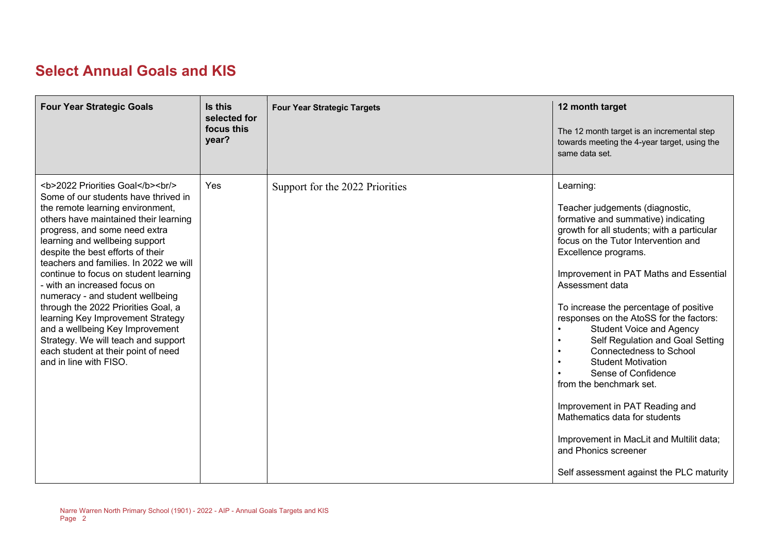# **Select Annual Goals and KIS**

| <b>Four Year Strategic Goals</b>                                                                                   | Is this<br>selected for<br>focus this<br>year? | <b>Four Year Strategic Targets</b> | 12 month target<br>The 12 month target is an incremental step<br>towards meeting the 4-year target, using the<br>same data set.                                                                                                                                                                                                                                                                                                                                                                                                                                                                                                                                                                                               |
|--------------------------------------------------------------------------------------------------------------------|------------------------------------------------|------------------------------------|-------------------------------------------------------------------------------------------------------------------------------------------------------------------------------------------------------------------------------------------------------------------------------------------------------------------------------------------------------------------------------------------------------------------------------------------------------------------------------------------------------------------------------------------------------------------------------------------------------------------------------------------------------------------------------------------------------------------------------|
| <b>2022 Priorities Goal</b><br>>hr<br>Some of our students have thrived in<br>the remote learning environment,<br> | <b>Yes</b>                                     | Support for the 2022 Priorities    | Learning:<br>Teacher judgements (diagnostic,<br>formative and summative) indicating<br>growth for all students; with a particular<br>focus on the Tutor Intervention and<br>Excellence programs.<br>Improvement in PAT Maths and Essential<br>Assessment data<br>To increase the percentage of positive<br>responses on the AtoSS for the factors:<br><b>Student Voice and Agency</b><br>Self Regulation and Goal Setting<br><b>Connectedness to School</b><br><b>Student Motivation</b><br>Sense of Confidence<br>from the benchmark set.<br>Improvement in PAT Reading and<br>Mathematics data for students<br>Improvement in MacLit and Multilit data;<br>and Phonics screener<br>Self assessment against the PLC maturity |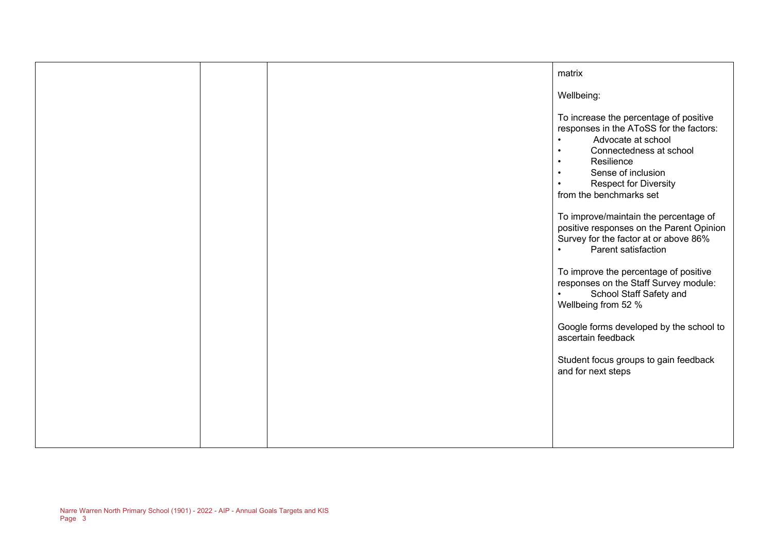|  | matrix                                                                                                                                                                                                                                                                                             |
|--|----------------------------------------------------------------------------------------------------------------------------------------------------------------------------------------------------------------------------------------------------------------------------------------------------|
|  | Wellbeing:                                                                                                                                                                                                                                                                                         |
|  | To increase the percentage of positive<br>responses in the AToSS for the factors:<br>Advocate at school<br>$\bullet$<br>Connectedness at school<br>$\bullet$<br>Resilience<br>$\bullet$<br>Sense of inclusion<br>$\bullet$<br><b>Respect for Diversity</b><br>$\bullet$<br>from the benchmarks set |
|  | To improve/maintain the percentage of<br>positive responses on the Parent Opinion<br>Survey for the factor at or above 86%<br>Parent satisfaction<br>$\bullet$                                                                                                                                     |
|  | To improve the percentage of positive<br>responses on the Staff Survey module:<br>School Staff Safety and<br>$\bullet$<br>Wellbeing from 52 %                                                                                                                                                      |
|  | Google forms developed by the school to<br>ascertain feedback                                                                                                                                                                                                                                      |
|  | Student focus groups to gain feedback<br>and for next steps                                                                                                                                                                                                                                        |
|  |                                                                                                                                                                                                                                                                                                    |
|  |                                                                                                                                                                                                                                                                                                    |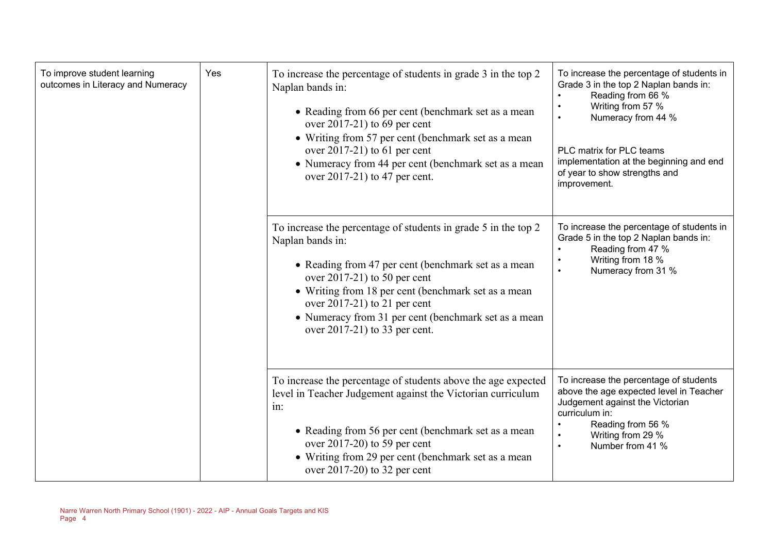| To improve student learning<br>outcomes in Literacy and Numeracy | Yes | To increase the percentage of students in grade 3 in the top 2<br>Naplan bands in:<br>• Reading from 66 per cent (benchmark set as a mean<br>over $2017-21$ ) to 69 per cent<br>• Writing from 57 per cent (benchmark set as a mean<br>over $2017-21$ ) to 61 per cent<br>• Numeracy from 44 per cent (benchmark set as a mean<br>over 2017-21) to 47 per cent. | To increase the percentage of students in<br>Grade 3 in the top 2 Naplan bands in:<br>Reading from 66 %<br>Writing from 57 %<br>Numeracy from 44 %<br>PLC matrix for PLC teams<br>implementation at the beginning and end<br>of year to show strengths and<br>improvement. |
|------------------------------------------------------------------|-----|-----------------------------------------------------------------------------------------------------------------------------------------------------------------------------------------------------------------------------------------------------------------------------------------------------------------------------------------------------------------|----------------------------------------------------------------------------------------------------------------------------------------------------------------------------------------------------------------------------------------------------------------------------|
|                                                                  |     | To increase the percentage of students in grade 5 in the top 2<br>Naplan bands in:<br>• Reading from 47 per cent (benchmark set as a mean<br>over $2017-21$ ) to 50 per cent<br>• Writing from 18 per cent (benchmark set as a mean<br>over $2017-21$ ) to 21 per cent<br>• Numeracy from 31 per cent (benchmark set as a mean<br>over 2017-21) to 33 per cent. | To increase the percentage of students in<br>Grade 5 in the top 2 Naplan bands in:<br>Reading from 47 %<br>Writing from 18 %<br>Numeracy from 31 %<br>$\bullet$                                                                                                            |
|                                                                  |     | To increase the percentage of students above the age expected<br>level in Teacher Judgement against the Victorian curriculum<br>in:<br>• Reading from 56 per cent (benchmark set as a mean<br>over $2017-20$ ) to 59 per cent<br>• Writing from 29 per cent (benchmark set as a mean<br>over $2017-20$ ) to 32 per cent                                         | To increase the percentage of students<br>above the age expected level in Teacher<br>Judgement against the Victorian<br>curriculum in:<br>Reading from 56 %<br>Writing from 29 %<br>Number from 41 %<br>$\bullet$                                                          |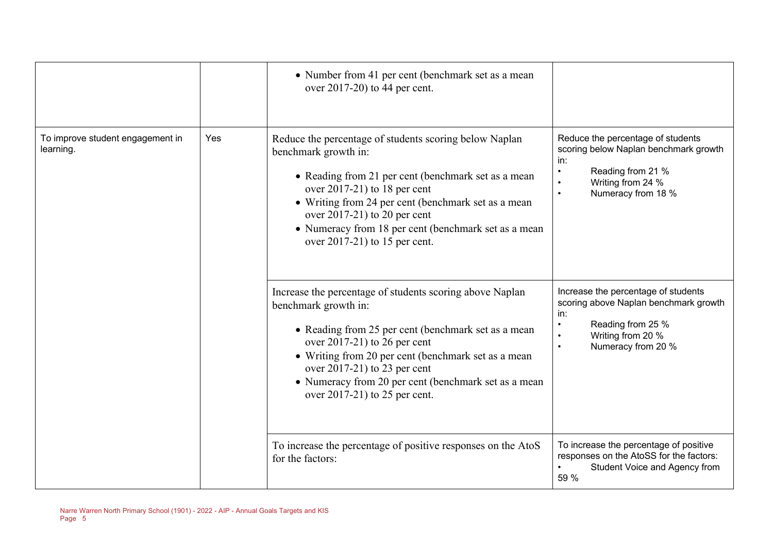|                                               |     | • Number from 41 per cent (benchmark set as a mean<br>over $2017-20$ ) to 44 per cent.                                                                                                                                                                                                                                                                                                                                  |                                                                                                                                                                                                                                 |
|-----------------------------------------------|-----|-------------------------------------------------------------------------------------------------------------------------------------------------------------------------------------------------------------------------------------------------------------------------------------------------------------------------------------------------------------------------------------------------------------------------|---------------------------------------------------------------------------------------------------------------------------------------------------------------------------------------------------------------------------------|
| To improve student engagement in<br>learning. | Yes | Reduce the percentage of students scoring below Naplan<br>benchmark growth in:<br>• Reading from 21 per cent (benchmark set as a mean<br>over $2017-21$ ) to 18 per cent<br>• Writing from 24 per cent (benchmark set as a mean<br>over $2017-21$ ) to 20 per cent<br>• Numeracy from 18 per cent (benchmark set as a mean<br>over 2017-21) to 15 per cent.<br>Increase the percentage of students scoring above Naplan | Reduce the percentage of students<br>scoring below Naplan benchmark growth<br>in:<br>Reading from 21 %<br>$\bullet$<br>Writing from 24 %<br>$\bullet$<br>Numeracy from 18 %<br>$\bullet$<br>Increase the percentage of students |
|                                               |     | benchmark growth in:<br>• Reading from 25 per cent (benchmark set as a mean<br>over $2017-21$ ) to 26 per cent<br>• Writing from 20 per cent (benchmark set as a mean<br>over $2017-21$ ) to 23 per cent<br>• Numeracy from 20 per cent (benchmark set as a mean<br>over 2017-21) to 25 per cent.                                                                                                                       | scoring above Naplan benchmark growth<br>in:<br>Reading from 25 %<br>$\bullet$<br>Writing from 20 %<br>Numeracy from 20 %<br>$\bullet$                                                                                          |
|                                               |     | To increase the percentage of positive responses on the AtoS<br>for the factors:                                                                                                                                                                                                                                                                                                                                        | To increase the percentage of positive<br>responses on the AtoSS for the factors:<br>Student Voice and Agency from<br>59 %                                                                                                      |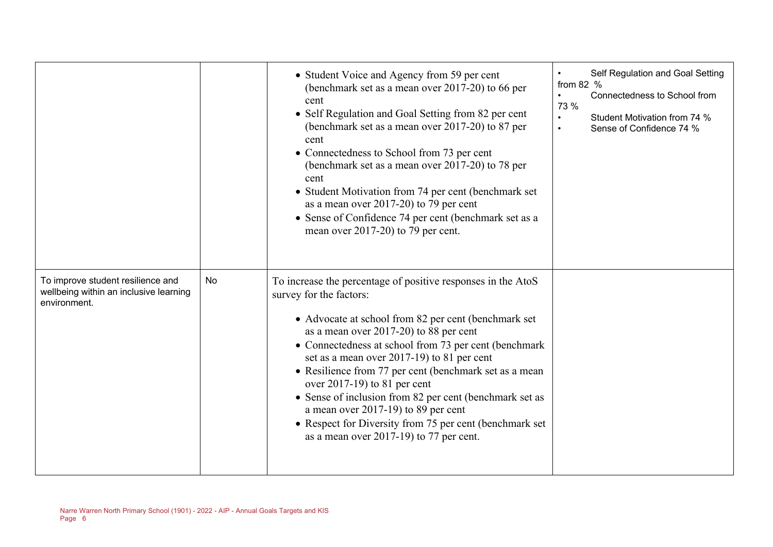|                                                                                             |    | • Student Voice and Agency from 59 per cent<br>(benchmark set as a mean over 2017-20) to 66 per<br>cent<br>• Self Regulation and Goal Setting from 82 per cent<br>(benchmark set as a mean over 2017-20) to 87 per<br>cent<br>• Connectedness to School from 73 per cent<br>(benchmark set as a mean over 2017-20) to 78 per<br>cent<br>• Student Motivation from 74 per cent (benchmark set<br>as a mean over 2017-20) to 79 per cent<br>• Sense of Confidence 74 per cent (benchmark set as a<br>mean over 2017-20) to 79 per cent.                                                                       | Self Regulation and Goal Setting<br>$\bullet$<br>from 82 $%$<br>Connectedness to School from<br>$\bullet$<br>73 %<br>Student Motivation from 74 %<br>$\bullet$<br>Sense of Confidence 74 %<br>$\bullet$ |
|---------------------------------------------------------------------------------------------|----|-------------------------------------------------------------------------------------------------------------------------------------------------------------------------------------------------------------------------------------------------------------------------------------------------------------------------------------------------------------------------------------------------------------------------------------------------------------------------------------------------------------------------------------------------------------------------------------------------------------|---------------------------------------------------------------------------------------------------------------------------------------------------------------------------------------------------------|
| To improve student resilience and<br>wellbeing within an inclusive learning<br>environment. | No | To increase the percentage of positive responses in the AtoS<br>survey for the factors:<br>• Advocate at school from 82 per cent (benchmark set<br>as a mean over 2017-20) to 88 per cent<br>• Connectedness at school from 73 per cent (benchmark<br>set as a mean over 2017-19) to 81 per cent<br>• Resilience from 77 per cent (benchmark set as a mean<br>over $2017-19$ ) to 81 per cent<br>• Sense of inclusion from 82 per cent (benchmark set as<br>a mean over $2017-19$ ) to 89 per cent<br>• Respect for Diversity from 75 per cent (benchmark set<br>as a mean over $2017-19$ ) to 77 per cent. |                                                                                                                                                                                                         |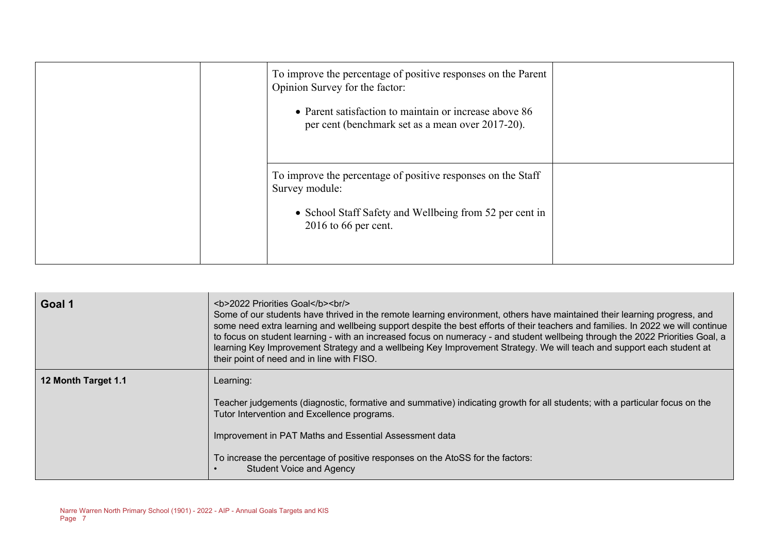| To improve the percentage of positive responses on the Parent<br>Opinion Survey for the factor:<br>• Parent satisfaction to maintain or increase above 86<br>per cent (benchmark set as a mean over 2017-20). |  |
|---------------------------------------------------------------------------------------------------------------------------------------------------------------------------------------------------------------|--|
| To improve the percentage of positive responses on the Staff<br>Survey module:<br>• School Staff Safety and Wellbeing from 52 per cent in<br>$2016$ to 66 per cent.                                           |  |

| Goal 1              | <b>2022 Priorities Goal</b><br>Some of our students have thrived in the remote learning environment, others have maintained their learning progress, and<br>some need extra learning and wellbeing support despite the best efforts of their teachers and families. In 2022 we will continue<br>to focus on student learning - with an increased focus on numeracy - and student wellbeing through the 2022 Priorities Goal, a<br>learning Key Improvement Strategy and a wellbeing Key Improvement Strategy. We will teach and support each student at<br>their point of need and in line with FISO. |
|---------------------|-------------------------------------------------------------------------------------------------------------------------------------------------------------------------------------------------------------------------------------------------------------------------------------------------------------------------------------------------------------------------------------------------------------------------------------------------------------------------------------------------------------------------------------------------------------------------------------------------------|
| 12 Month Target 1.1 | Learning:                                                                                                                                                                                                                                                                                                                                                                                                                                                                                                                                                                                             |
|                     | Teacher judgements (diagnostic, formative and summative) indicating growth for all students; with a particular focus on the<br>Tutor Intervention and Excellence programs.                                                                                                                                                                                                                                                                                                                                                                                                                            |
|                     | Improvement in PAT Maths and Essential Assessment data                                                                                                                                                                                                                                                                                                                                                                                                                                                                                                                                                |
|                     | To increase the percentage of positive responses on the AtoSS for the factors:<br><b>Student Voice and Agency</b>                                                                                                                                                                                                                                                                                                                                                                                                                                                                                     |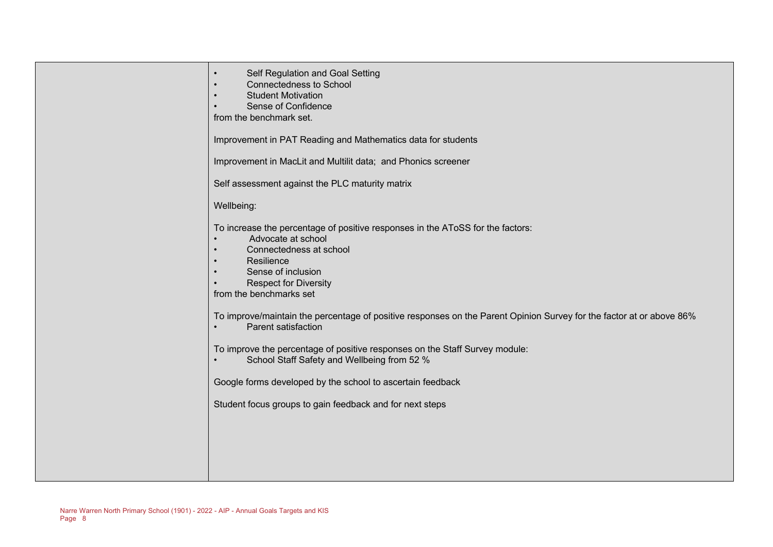| Self Regulation and Goal Setting<br>$\bullet$<br><b>Connectedness to School</b><br><b>Student Motivation</b><br>$\bullet$<br>Sense of Confidence<br>$\bullet$<br>from the benchmark set.                                                                                           |
|------------------------------------------------------------------------------------------------------------------------------------------------------------------------------------------------------------------------------------------------------------------------------------|
| Improvement in PAT Reading and Mathematics data for students                                                                                                                                                                                                                       |
| Improvement in MacLit and Multilit data; and Phonics screener                                                                                                                                                                                                                      |
| Self assessment against the PLC maturity matrix                                                                                                                                                                                                                                    |
| Wellbeing:                                                                                                                                                                                                                                                                         |
| To increase the percentage of positive responses in the AToSS for the factors:<br>Advocate at school<br>$\bullet$<br>Connectedness at school<br>$\bullet$<br>Resilience<br>$\bullet$<br>Sense of inclusion<br>$\bullet$<br><b>Respect for Diversity</b><br>from the benchmarks set |
| To improve/maintain the percentage of positive responses on the Parent Opinion Survey for the factor at or above 86%<br>Parent satisfaction                                                                                                                                        |
| To improve the percentage of positive responses on the Staff Survey module:<br>School Staff Safety and Wellbeing from 52 %                                                                                                                                                         |
| Google forms developed by the school to ascertain feedback                                                                                                                                                                                                                         |
| Student focus groups to gain feedback and for next steps                                                                                                                                                                                                                           |
|                                                                                                                                                                                                                                                                                    |
|                                                                                                                                                                                                                                                                                    |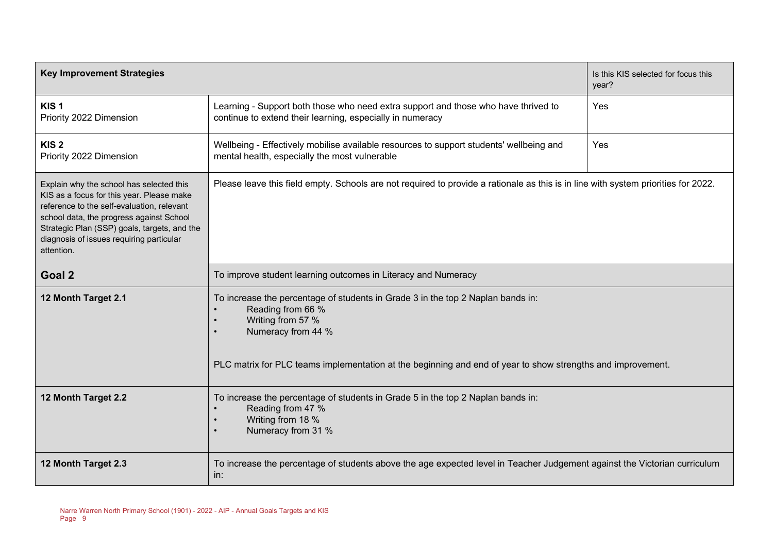| <b>Key Improvement Strategies</b>                                                                                                                                                                                                                                                         |                                                                                                                                                                                                                                                                                          | Is this KIS selected for focus this<br>year? |
|-------------------------------------------------------------------------------------------------------------------------------------------------------------------------------------------------------------------------------------------------------------------------------------------|------------------------------------------------------------------------------------------------------------------------------------------------------------------------------------------------------------------------------------------------------------------------------------------|----------------------------------------------|
| KIS <sub>1</sub><br>Priority 2022 Dimension                                                                                                                                                                                                                                               | Learning - Support both those who need extra support and those who have thrived to<br>continue to extend their learning, especially in numeracy                                                                                                                                          | Yes                                          |
| KIS <sub>2</sub><br>Priority 2022 Dimension                                                                                                                                                                                                                                               | Wellbeing - Effectively mobilise available resources to support students' wellbeing and<br>mental health, especially the most vulnerable                                                                                                                                                 | Yes                                          |
| Explain why the school has selected this<br>KIS as a focus for this year. Please make<br>reference to the self-evaluation, relevant<br>school data, the progress against School<br>Strategic Plan (SSP) goals, targets, and the<br>diagnosis of issues requiring particular<br>attention. | Please leave this field empty. Schools are not required to provide a rationale as this is in line with system priorities for 2022.                                                                                                                                                       |                                              |
| Goal 2                                                                                                                                                                                                                                                                                    | To improve student learning outcomes in Literacy and Numeracy                                                                                                                                                                                                                            |                                              |
| 12 Month Target 2.1                                                                                                                                                                                                                                                                       | To increase the percentage of students in Grade 3 in the top 2 Naplan bands in:<br>Reading from 66 %<br>Writing from 57 %<br>$\bullet$<br>Numeracy from 44 %<br>$\bullet$<br>PLC matrix for PLC teams implementation at the beginning and end of year to show strengths and improvement. |                                              |
| 12 Month Target 2.2                                                                                                                                                                                                                                                                       | To increase the percentage of students in Grade 5 in the top 2 Naplan bands in:<br>Reading from 47 %<br>Writing from 18 %<br>Numeracy from 31 %                                                                                                                                          |                                              |
| 12 Month Target 2.3                                                                                                                                                                                                                                                                       | To increase the percentage of students above the age expected level in Teacher Judgement against the Victorian curriculum<br>in:                                                                                                                                                         |                                              |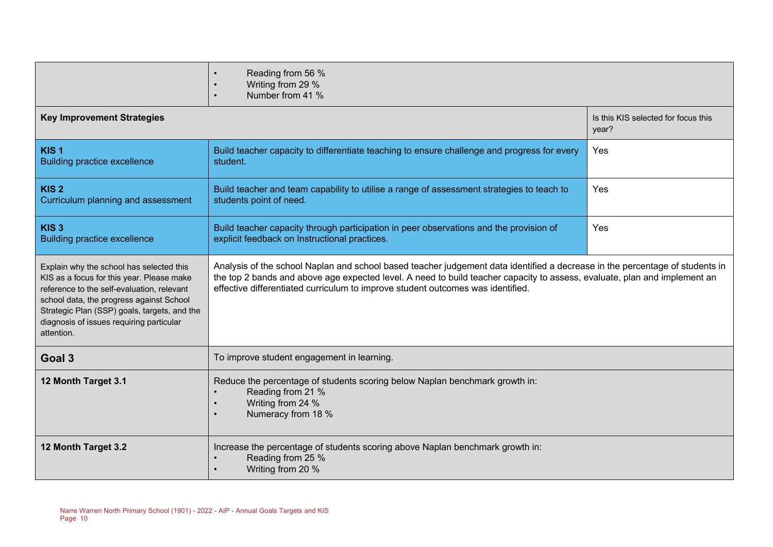|                                                                                                                                                                                                                                                                                           | Reading from 56 %<br>Writing from 29 %<br>Number from 41 %                                                                                                                                                                                                                                                                                   |                                              |  |
|-------------------------------------------------------------------------------------------------------------------------------------------------------------------------------------------------------------------------------------------------------------------------------------------|----------------------------------------------------------------------------------------------------------------------------------------------------------------------------------------------------------------------------------------------------------------------------------------------------------------------------------------------|----------------------------------------------|--|
| <b>Key Improvement Strategies</b>                                                                                                                                                                                                                                                         |                                                                                                                                                                                                                                                                                                                                              | Is this KIS selected for focus this<br>year? |  |
| KIS <sub>1</sub><br><b>Building practice excellence</b>                                                                                                                                                                                                                                   | Build teacher capacity to differentiate teaching to ensure challenge and progress for every<br>student.                                                                                                                                                                                                                                      | Yes                                          |  |
| KIS <sub>2</sub><br>Curriculum planning and assessment                                                                                                                                                                                                                                    | Build teacher and team capability to utilise a range of assessment strategies to teach to<br>students point of need.                                                                                                                                                                                                                         | Yes                                          |  |
| KIS <sub>3</sub><br><b>Building practice excellence</b>                                                                                                                                                                                                                                   | Build teacher capacity through participation in peer observations and the provision of<br>explicit feedback on Instructional practices.                                                                                                                                                                                                      | Yes                                          |  |
| Explain why the school has selected this<br>KIS as a focus for this year. Please make<br>reference to the self-evaluation, relevant<br>school data, the progress against School<br>Strategic Plan (SSP) goals, targets, and the<br>diagnosis of issues requiring particular<br>attention. | Analysis of the school Naplan and school based teacher judgement data identified a decrease in the percentage of students in<br>the top 2 bands and above age expected level. A need to build teacher capacity to assess, evaluate, plan and implement an<br>effective differentiated curriculum to improve student outcomes was identified. |                                              |  |
| Goal 3                                                                                                                                                                                                                                                                                    | To improve student engagement in learning.                                                                                                                                                                                                                                                                                                   |                                              |  |
| 12 Month Target 3.1                                                                                                                                                                                                                                                                       | Reduce the percentage of students scoring below Naplan benchmark growth in:<br>Reading from 21 %<br>Writing from 24 %<br>Numeracy from 18 %                                                                                                                                                                                                  |                                              |  |
| 12 Month Target 3.2                                                                                                                                                                                                                                                                       | Increase the percentage of students scoring above Naplan benchmark growth in:<br>Reading from 25 %<br>Writing from 20 %                                                                                                                                                                                                                      |                                              |  |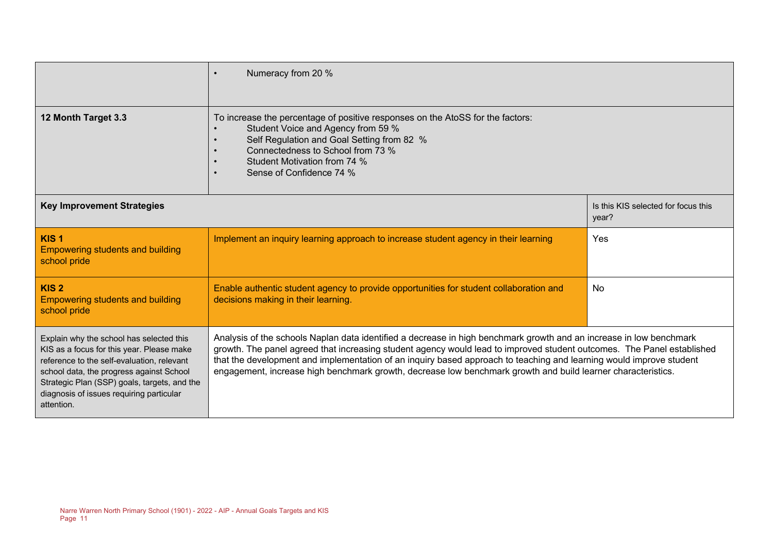|                                                                                                                                                                                                                                                                                           | Numeracy from 20 %<br>$\bullet$                                                                                                                                                                                                                                                                                                                                                                                                                                                      |                                              |
|-------------------------------------------------------------------------------------------------------------------------------------------------------------------------------------------------------------------------------------------------------------------------------------------|--------------------------------------------------------------------------------------------------------------------------------------------------------------------------------------------------------------------------------------------------------------------------------------------------------------------------------------------------------------------------------------------------------------------------------------------------------------------------------------|----------------------------------------------|
| 12 Month Target 3.3                                                                                                                                                                                                                                                                       | To increase the percentage of positive responses on the AtoSS for the factors:<br>Student Voice and Agency from 59 %<br>Self Regulation and Goal Setting from 82 %<br>$\bullet$<br>Connectedness to School from 73 %<br>$\bullet$<br>Student Motivation from 74 %<br>Sense of Confidence 74 %                                                                                                                                                                                        |                                              |
| <b>Key Improvement Strategies</b>                                                                                                                                                                                                                                                         |                                                                                                                                                                                                                                                                                                                                                                                                                                                                                      | Is this KIS selected for focus this<br>year? |
| KIS <sub>1</sub><br><b>Empowering students and building</b><br>school pride                                                                                                                                                                                                               | Implement an inquiry learning approach to increase student agency in their learning                                                                                                                                                                                                                                                                                                                                                                                                  | Yes                                          |
| KIS <sub>2</sub><br><b>Empowering students and building</b><br>school pride                                                                                                                                                                                                               | Enable authentic student agency to provide opportunities for student collaboration and<br>decisions making in their learning.                                                                                                                                                                                                                                                                                                                                                        | <b>No</b>                                    |
| Explain why the school has selected this<br>KIS as a focus for this year. Please make<br>reference to the self-evaluation, relevant<br>school data, the progress against School<br>Strategic Plan (SSP) goals, targets, and the<br>diagnosis of issues requiring particular<br>attention. | Analysis of the schools Naplan data identified a decrease in high benchmark growth and an increase in low benchmark<br>growth. The panel agreed that increasing student agency would lead to improved student outcomes. The Panel established<br>that the development and implementation of an inquiry based approach to teaching and learning would improve student<br>engagement, increase high benchmark growth, decrease low benchmark growth and build learner characteristics. |                                              |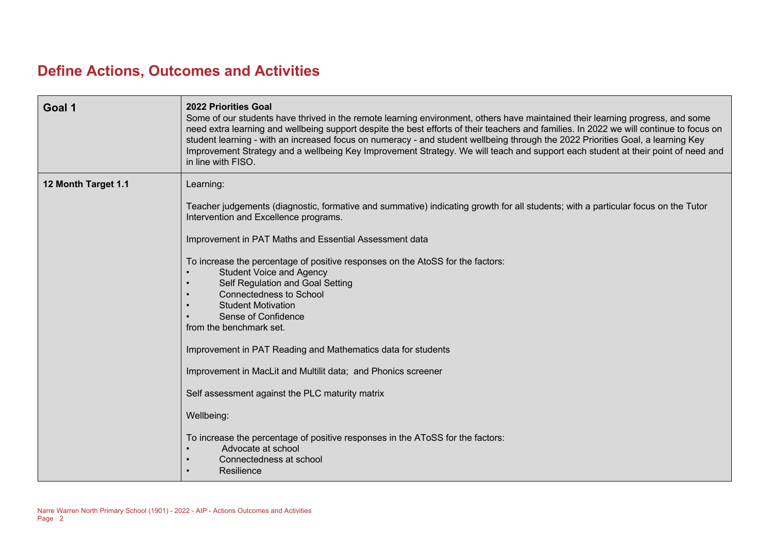# **Define Actions, Outcomes and Activities**

| Goal 1              | 2022 Priorities Goal<br>Some of our students have thrived in the remote learning environment, others have maintained their learning progress, and some<br>need extra learning and wellbeing support despite the best efforts of their teachers and families. In 2022 we will continue to focus on<br>student learning - with an increased focus on numeracy - and student wellbeing through the 2022 Priorities Goal, a learning Key<br>Improvement Strategy and a wellbeing Key Improvement Strategy. We will teach and support each student at their point of need and<br>in line with FISO. |
|---------------------|------------------------------------------------------------------------------------------------------------------------------------------------------------------------------------------------------------------------------------------------------------------------------------------------------------------------------------------------------------------------------------------------------------------------------------------------------------------------------------------------------------------------------------------------------------------------------------------------|
| 12 Month Target 1.1 | Learning:                                                                                                                                                                                                                                                                                                                                                                                                                                                                                                                                                                                      |
|                     | Teacher judgements (diagnostic, formative and summative) indicating growth for all students; with a particular focus on the Tutor<br>Intervention and Excellence programs.                                                                                                                                                                                                                                                                                                                                                                                                                     |
|                     | Improvement in PAT Maths and Essential Assessment data                                                                                                                                                                                                                                                                                                                                                                                                                                                                                                                                         |
|                     | To increase the percentage of positive responses on the AtoSS for the factors:<br><b>Student Voice and Agency</b><br>Self Regulation and Goal Setting<br><b>Connectedness to School</b><br><b>Student Motivation</b><br>Sense of Confidence<br>from the benchmark set.                                                                                                                                                                                                                                                                                                                         |
|                     | Improvement in PAT Reading and Mathematics data for students                                                                                                                                                                                                                                                                                                                                                                                                                                                                                                                                   |
|                     | Improvement in MacLit and Multilit data; and Phonics screener                                                                                                                                                                                                                                                                                                                                                                                                                                                                                                                                  |
|                     | Self assessment against the PLC maturity matrix                                                                                                                                                                                                                                                                                                                                                                                                                                                                                                                                                |
|                     | Wellbeing:                                                                                                                                                                                                                                                                                                                                                                                                                                                                                                                                                                                     |
|                     | To increase the percentage of positive responses in the AToSS for the factors:<br>Advocate at school<br>Connectedness at school<br>Resilience                                                                                                                                                                                                                                                                                                                                                                                                                                                  |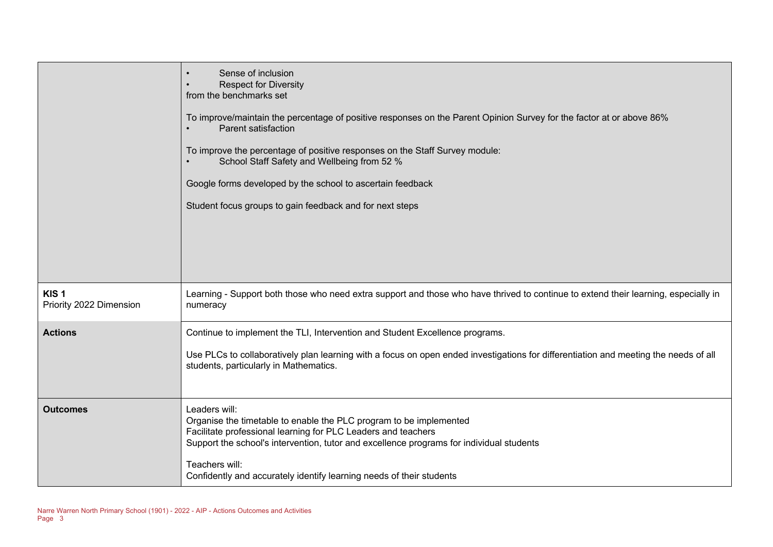|                                             | Sense of inclusion<br><b>Respect for Diversity</b><br>from the benchmarks set<br>To improve/maintain the percentage of positive responses on the Parent Opinion Survey for the factor at or above 86%<br>Parent satisfaction<br>To improve the percentage of positive responses on the Staff Survey module:<br>School Staff Safety and Wellbeing from 52 %<br>Google forms developed by the school to ascertain feedback<br>Student focus groups to gain feedback and for next steps |
|---------------------------------------------|--------------------------------------------------------------------------------------------------------------------------------------------------------------------------------------------------------------------------------------------------------------------------------------------------------------------------------------------------------------------------------------------------------------------------------------------------------------------------------------|
| KIS <sub>1</sub><br>Priority 2022 Dimension | Learning - Support both those who need extra support and those who have thrived to continue to extend their learning, especially in<br>numeracy                                                                                                                                                                                                                                                                                                                                      |
| <b>Actions</b>                              | Continue to implement the TLI, Intervention and Student Excellence programs.<br>Use PLCs to collaboratively plan learning with a focus on open ended investigations for differentiation and meeting the needs of all                                                                                                                                                                                                                                                                 |
|                                             | students, particularly in Mathematics.                                                                                                                                                                                                                                                                                                                                                                                                                                               |
| <b>Outcomes</b>                             | Leaders will:<br>Organise the timetable to enable the PLC program to be implemented<br>Facilitate professional learning for PLC Leaders and teachers<br>Support the school's intervention, tutor and excellence programs for individual students<br>Teachers will:<br>Confidently and accurately identify learning needs of their students                                                                                                                                           |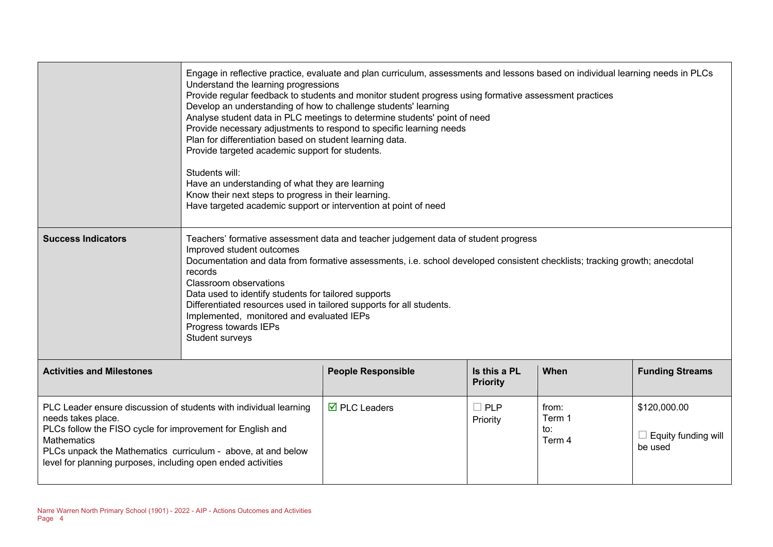|                                                                                                                                                                                                                                                                                                             | Engage in reflective practice, evaluate and plan curriculum, assessments and lessons based on individual learning needs in PLCs<br>Understand the learning progressions<br>Provide regular feedback to students and monitor student progress using formative assessment practices<br>Develop an understanding of how to challenge students' learning<br>Analyse student data in PLC meetings to determine students' point of need<br>Provide necessary adjustments to respond to specific learning needs<br>Plan for differentiation based on student learning data.<br>Provide targeted academic support for students.<br>Students will:<br>Have an understanding of what they are learning<br>Know their next steps to progress in their learning.<br>Have targeted academic support or intervention at point of need |                                    |                                 |                                  |                                                       |
|-------------------------------------------------------------------------------------------------------------------------------------------------------------------------------------------------------------------------------------------------------------------------------------------------------------|-------------------------------------------------------------------------------------------------------------------------------------------------------------------------------------------------------------------------------------------------------------------------------------------------------------------------------------------------------------------------------------------------------------------------------------------------------------------------------------------------------------------------------------------------------------------------------------------------------------------------------------------------------------------------------------------------------------------------------------------------------------------------------------------------------------------------|------------------------------------|---------------------------------|----------------------------------|-------------------------------------------------------|
| <b>Success Indicators</b>                                                                                                                                                                                                                                                                                   | Teachers' formative assessment data and teacher judgement data of student progress<br>Improved student outcomes<br>Documentation and data from formative assessments, i.e. school developed consistent checklists; tracking growth; anecdotal<br>records<br><b>Classroom observations</b><br>Data used to identify students for tailored supports<br>Differentiated resources used in tailored supports for all students.<br>Implemented, monitored and evaluated IEPs<br>Progress towards IEPs<br>Student surveys                                                                                                                                                                                                                                                                                                      |                                    |                                 |                                  |                                                       |
| <b>Activities and Milestones</b>                                                                                                                                                                                                                                                                            |                                                                                                                                                                                                                                                                                                                                                                                                                                                                                                                                                                                                                                                                                                                                                                                                                         | <b>People Responsible</b>          | Is this a PL<br><b>Priority</b> | When                             | <b>Funding Streams</b>                                |
| PLC Leader ensure discussion of students with individual learning<br>needs takes place.<br>PLCs follow the FISO cycle for improvement for English and<br><b>Mathematics</b><br>PLCs unpack the Mathematics curriculum - above, at and below<br>level for planning purposes, including open ended activities |                                                                                                                                                                                                                                                                                                                                                                                                                                                                                                                                                                                                                                                                                                                                                                                                                         | $\overline{\boxtimes}$ PLC Leaders | $\square$ PLP<br>Priority       | from:<br>Term 1<br>to:<br>Term 4 | \$120,000.00<br>$\Box$ Equity funding will<br>be used |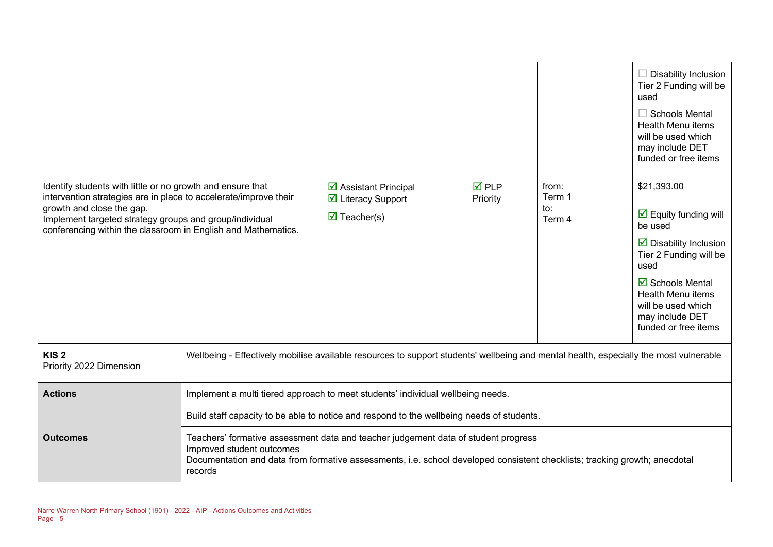|                                                                                                                                                                                                                                                                                         |                                                                                                                                                                                                                                                          |                                                                                                                                       |                                |                                  | $\Box$ Disability Inclusion<br>Tier 2 Funding will be<br>used<br>$\Box$ Schools Mental<br><b>Health Menu items</b><br>will be used which<br>may include DET<br>funded or free items                                                                           |
|-----------------------------------------------------------------------------------------------------------------------------------------------------------------------------------------------------------------------------------------------------------------------------------------|----------------------------------------------------------------------------------------------------------------------------------------------------------------------------------------------------------------------------------------------------------|---------------------------------------------------------------------------------------------------------------------------------------|--------------------------------|----------------------------------|---------------------------------------------------------------------------------------------------------------------------------------------------------------------------------------------------------------------------------------------------------------|
| Identify students with little or no growth and ensure that<br>intervention strategies are in place to accelerate/improve their<br>growth and close the gap.<br>Implement targeted strategy groups and group/individual<br>conferencing within the classroom in English and Mathematics. |                                                                                                                                                                                                                                                          | ☑ Assistant Principal<br>☑ Literacy Support<br>$\overline{\mathbf{M}}$ Teacher(s)                                                     | $\overline{M}$ PLP<br>Priority | from:<br>Term 1<br>to:<br>Term 4 | \$21,393.00<br>$\boxdot$ Equity funding will<br>be used<br>$\overline{\mathbf{y}}$ Disability Inclusion<br>Tier 2 Funding will be<br>used<br>$\boxtimes$ Schools Mental<br>Health Menu items<br>will be used which<br>may include DET<br>funded or free items |
| KIS <sub>2</sub><br>Priority 2022 Dimension                                                                                                                                                                                                                                             |                                                                                                                                                                                                                                                          | Wellbeing - Effectively mobilise available resources to support students' wellbeing and mental health, especially the most vulnerable |                                |                                  |                                                                                                                                                                                                                                                               |
| <b>Actions</b>                                                                                                                                                                                                                                                                          |                                                                                                                                                                                                                                                          | Implement a multi tiered approach to meet students' individual wellbeing needs.                                                       |                                |                                  |                                                                                                                                                                                                                                                               |
|                                                                                                                                                                                                                                                                                         |                                                                                                                                                                                                                                                          | Build staff capacity to be able to notice and respond to the wellbeing needs of students.                                             |                                |                                  |                                                                                                                                                                                                                                                               |
| <b>Outcomes</b>                                                                                                                                                                                                                                                                         | Teachers' formative assessment data and teacher judgement data of student progress<br>Improved student outcomes<br>Documentation and data from formative assessments, i.e. school developed consistent checklists; tracking growth; anecdotal<br>records |                                                                                                                                       |                                |                                  |                                                                                                                                                                                                                                                               |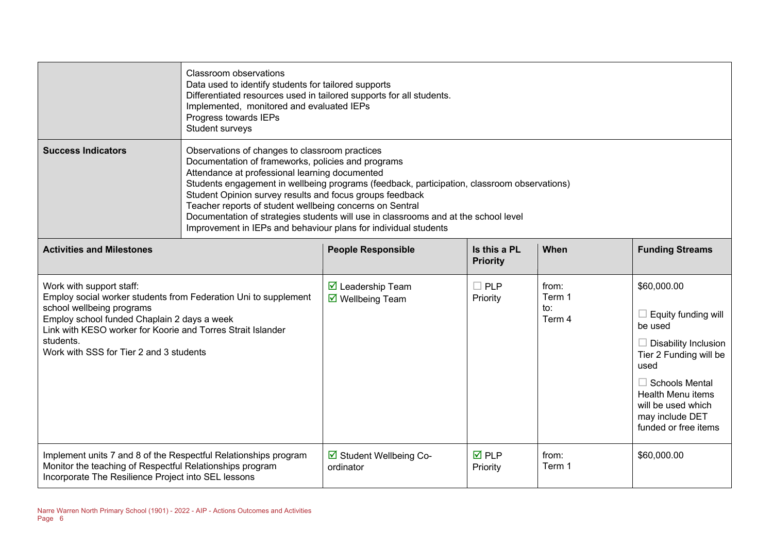|                                                                                                                                                                                                                                                                                                | <b>Classroom observations</b><br>Data used to identify students for tailored supports<br>Differentiated resources used in tailored supports for all students.<br>Implemented, monitored and evaluated IEPs<br>Progress towards IEPs<br>Student surveys                                                                                                                                                                                                                                                                                  |                                                                                   |                                 |                                  |                                                                                                                                                                                                                                             |  |
|------------------------------------------------------------------------------------------------------------------------------------------------------------------------------------------------------------------------------------------------------------------------------------------------|-----------------------------------------------------------------------------------------------------------------------------------------------------------------------------------------------------------------------------------------------------------------------------------------------------------------------------------------------------------------------------------------------------------------------------------------------------------------------------------------------------------------------------------------|-----------------------------------------------------------------------------------|---------------------------------|----------------------------------|---------------------------------------------------------------------------------------------------------------------------------------------------------------------------------------------------------------------------------------------|--|
| <b>Success Indicators</b>                                                                                                                                                                                                                                                                      | Observations of changes to classroom practices<br>Documentation of frameworks, policies and programs<br>Attendance at professional learning documented<br>Students engagement in wellbeing programs (feedback, participation, classroom observations)<br>Student Opinion survey results and focus groups feedback<br>Teacher reports of student wellbeing concerns on Sentral<br>Documentation of strategies students will use in classrooms and at the school level<br>Improvement in IEPs and behaviour plans for individual students |                                                                                   |                                 |                                  |                                                                                                                                                                                                                                             |  |
| <b>Activities and Milestones</b>                                                                                                                                                                                                                                                               |                                                                                                                                                                                                                                                                                                                                                                                                                                                                                                                                         | <b>People Responsible</b>                                                         | Is this a PL<br><b>Priority</b> | When                             | <b>Funding Streams</b>                                                                                                                                                                                                                      |  |
| Work with support staff:<br>Employ social worker students from Federation Uni to supplement<br>school wellbeing programs<br>Employ school funded Chaplain 2 days a week<br>Link with KESO worker for Koorie and Torres Strait Islander<br>students.<br>Work with SSS for Tier 2 and 3 students |                                                                                                                                                                                                                                                                                                                                                                                                                                                                                                                                         | $\overline{\mathbf{M}}$ Leadership Team<br>$\overline{\mathbf{M}}$ Wellbeing Team | $\square$ PLP<br>Priority       | from:<br>Term 1<br>to:<br>Term 4 | \$60,000.00<br>$\Box$ Equity funding will<br>be used<br>$\Box$ Disability Inclusion<br>Tier 2 Funding will be<br>used<br>$\Box$ Schools Mental<br><b>Health Menu items</b><br>will be used which<br>may include DET<br>funded or free items |  |
| Implement units 7 and 8 of the Respectful Relationships program<br>Monitor the teaching of Respectful Relationships program<br>Incorporate The Resilience Project into SEL lessons                                                                                                             |                                                                                                                                                                                                                                                                                                                                                                                                                                                                                                                                         | ☑ Student Wellbeing Co-<br>ordinator                                              | $\overline{M}$ PLP<br>Priority  | from:<br>Term 1                  | \$60,000.00                                                                                                                                                                                                                                 |  |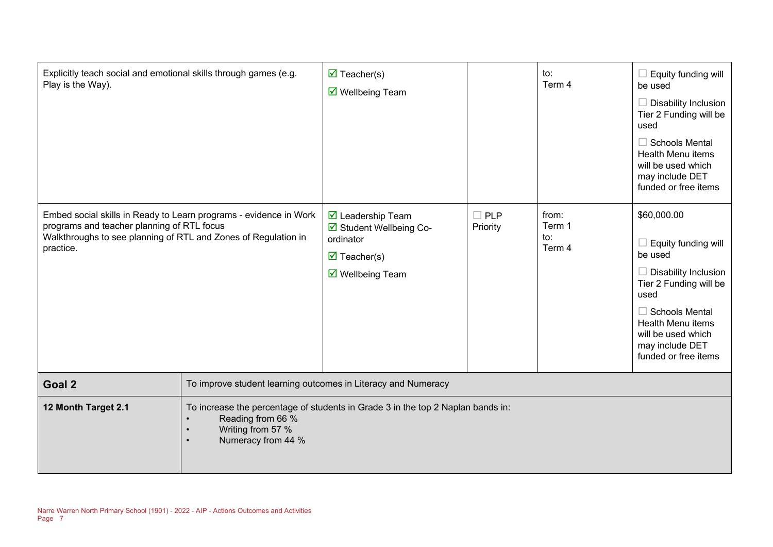| Explicitly teach social and emotional skills through games (e.g.<br>Play is the Way).                                                                                                          |                                                                                                                                                 | $\overline{\mathbf{M}}$ Teacher(s)<br>$\overline{\mathsf{M}}$ Wellbeing Team                                                                    |                        | to:<br>Term 4                    | Equity funding will<br>be used<br>Disability Inclusion<br>Tier 2 Funding will be<br>used<br><b>Schools Mental</b><br>ш<br><b>Health Menu items</b><br>will be used which<br>may include DET<br>funded or free items           |  |
|------------------------------------------------------------------------------------------------------------------------------------------------------------------------------------------------|-------------------------------------------------------------------------------------------------------------------------------------------------|-------------------------------------------------------------------------------------------------------------------------------------------------|------------------------|----------------------------------|-------------------------------------------------------------------------------------------------------------------------------------------------------------------------------------------------------------------------------|--|
| Embed social skills in Ready to Learn programs - evidence in Work<br>programs and teacher planning of RTL focus<br>Walkthroughs to see planning of RTL and Zones of Regulation in<br>practice. |                                                                                                                                                 | $\triangledown$ Leadership Team<br>☑ Student Wellbeing Co-<br>ordinator<br>$\overline{\mathbf{M}}$ Teacher(s)<br>$\triangledown$ Wellbeing Team | $\Box$ PLP<br>Priority | from:<br>Term 1<br>to:<br>Term 4 | \$60,000.00<br>$\Box$ Equity funding will<br>be used<br>Disability Inclusion<br>Tier 2 Funding will be<br>used<br>$\Box$ Schools Mental<br>Health Menu items<br>will be used which<br>may include DET<br>funded or free items |  |
| Goal 2                                                                                                                                                                                         |                                                                                                                                                 | To improve student learning outcomes in Literacy and Numeracy                                                                                   |                        |                                  |                                                                                                                                                                                                                               |  |
| 12 Month Target 2.1                                                                                                                                                                            | To increase the percentage of students in Grade 3 in the top 2 Naplan bands in:<br>Reading from 66 %<br>Writing from 57 %<br>Numeracy from 44 % |                                                                                                                                                 |                        |                                  |                                                                                                                                                                                                                               |  |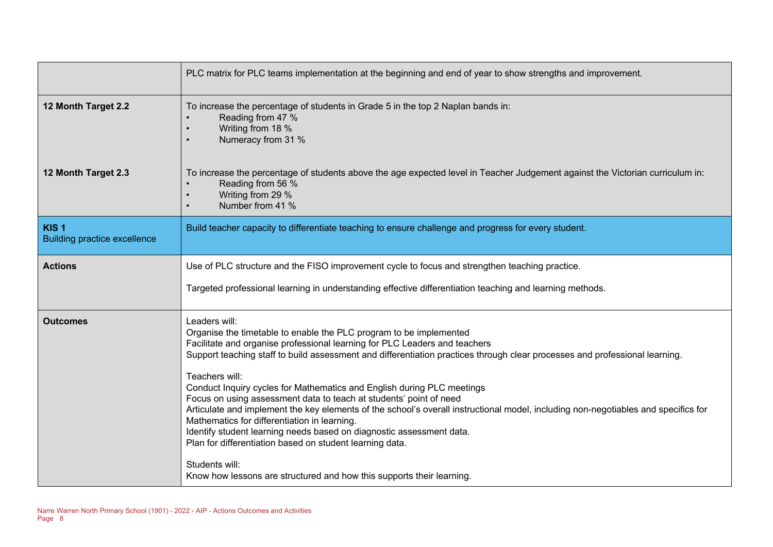|                                                         | PLC matrix for PLC teams implementation at the beginning and end of year to show strengths and improvement.                                                                                                                                                                                                                                                                                                                                                                                                                                                                                                                                                                                                                                                                                                                                                                             |
|---------------------------------------------------------|-----------------------------------------------------------------------------------------------------------------------------------------------------------------------------------------------------------------------------------------------------------------------------------------------------------------------------------------------------------------------------------------------------------------------------------------------------------------------------------------------------------------------------------------------------------------------------------------------------------------------------------------------------------------------------------------------------------------------------------------------------------------------------------------------------------------------------------------------------------------------------------------|
| 12 Month Target 2.2                                     | To increase the percentage of students in Grade 5 in the top 2 Naplan bands in:<br>Reading from 47 %<br>Writing from 18 %<br>Numeracy from 31 %                                                                                                                                                                                                                                                                                                                                                                                                                                                                                                                                                                                                                                                                                                                                         |
| 12 Month Target 2.3                                     | To increase the percentage of students above the age expected level in Teacher Judgement against the Victorian curriculum in:<br>Reading from 56 %<br>Writing from 29 %<br>Number from 41 %                                                                                                                                                                                                                                                                                                                                                                                                                                                                                                                                                                                                                                                                                             |
| KIS <sub>1</sub><br><b>Building practice excellence</b> | Build teacher capacity to differentiate teaching to ensure challenge and progress for every student.                                                                                                                                                                                                                                                                                                                                                                                                                                                                                                                                                                                                                                                                                                                                                                                    |
| <b>Actions</b>                                          | Use of PLC structure and the FISO improvement cycle to focus and strengthen teaching practice.<br>Targeted professional learning in understanding effective differentiation teaching and learning methods.                                                                                                                                                                                                                                                                                                                                                                                                                                                                                                                                                                                                                                                                              |
| <b>Outcomes</b>                                         | Leaders will:<br>Organise the timetable to enable the PLC program to be implemented<br>Facilitate and organise professional learning for PLC Leaders and teachers<br>Support teaching staff to build assessment and differentiation practices through clear processes and professional learning.<br>Teachers will:<br>Conduct Inquiry cycles for Mathematics and English during PLC meetings<br>Focus on using assessment data to teach at students' point of need<br>Articulate and implement the key elements of the school's overall instructional model, including non-negotiables and specifics for<br>Mathematics for differentiation in learning.<br>Identify student learning needs based on diagnostic assessment data.<br>Plan for differentiation based on student learning data.<br>Students will:<br>Know how lessons are structured and how this supports their learning. |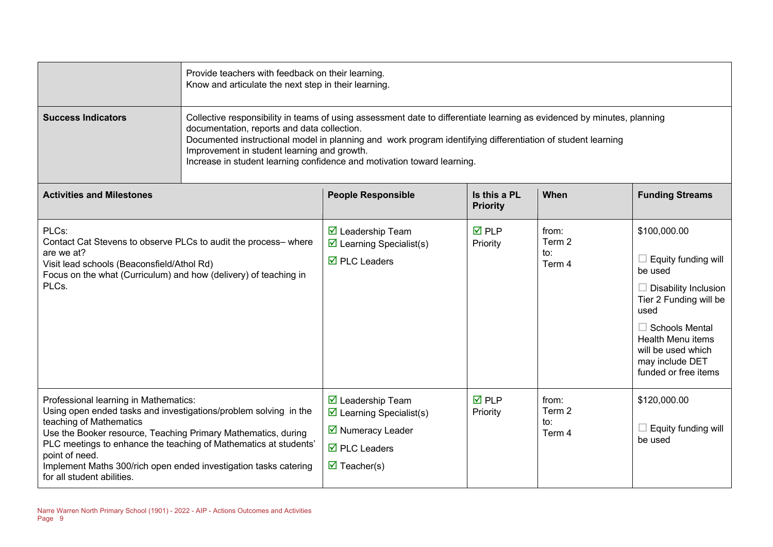|                                                                                                                                                                                                                                                                                                                                                                                               | Provide teachers with feedback on their learning.<br>Know and articulate the next step in their learning.                                                                                                                                                                                                                                                                                                       |                                                                                                                                                                                       |                                 |                                              |                                                                                                                                                                                                                                              |  |
|-----------------------------------------------------------------------------------------------------------------------------------------------------------------------------------------------------------------------------------------------------------------------------------------------------------------------------------------------------------------------------------------------|-----------------------------------------------------------------------------------------------------------------------------------------------------------------------------------------------------------------------------------------------------------------------------------------------------------------------------------------------------------------------------------------------------------------|---------------------------------------------------------------------------------------------------------------------------------------------------------------------------------------|---------------------------------|----------------------------------------------|----------------------------------------------------------------------------------------------------------------------------------------------------------------------------------------------------------------------------------------------|--|
| <b>Success Indicators</b>                                                                                                                                                                                                                                                                                                                                                                     | Collective responsibility in teams of using assessment date to differentiate learning as evidenced by minutes, planning<br>documentation, reports and data collection.<br>Documented instructional model in planning and work program identifying differentiation of student learning<br>Improvement in student learning and growth.<br>Increase in student learning confidence and motivation toward learning. |                                                                                                                                                                                       |                                 |                                              |                                                                                                                                                                                                                                              |  |
| <b>Activities and Milestones</b>                                                                                                                                                                                                                                                                                                                                                              |                                                                                                                                                                                                                                                                                                                                                                                                                 | <b>People Responsible</b>                                                                                                                                                             | Is this a PL<br><b>Priority</b> | When                                         | <b>Funding Streams</b>                                                                                                                                                                                                                       |  |
| PLCs:<br>Contact Cat Stevens to observe PLCs to audit the process-where<br>are we at?<br>Visit lead schools (Beaconsfield/Athol Rd)<br>Focus on the what (Curriculum) and how (delivery) of teaching in<br>PLCs.                                                                                                                                                                              |                                                                                                                                                                                                                                                                                                                                                                                                                 | $\overline{\mathbf{M}}$ Leadership Team<br>$\triangleright$ Learning Specialist(s)<br>$\overline{\boxtimes}$ PLC Leaders                                                              | $\overline{M}$ PLP<br>Priority  | from:<br>Term 2<br>$\mathsf{to}$ :<br>Term 4 | \$100,000.00<br>$\Box$ Equity funding will<br>be used<br>$\Box$ Disability Inclusion<br>Tier 2 Funding will be<br>used<br>$\Box$ Schools Mental<br><b>Health Menu items</b><br>will be used which<br>may include DET<br>funded or free items |  |
| Professional learning in Mathematics:<br>Using open ended tasks and investigations/problem solving in the<br>teaching of Mathematics<br>Use the Booker resource, Teaching Primary Mathematics, during<br>PLC meetings to enhance the teaching of Mathematics at students'<br>point of need.<br>Implement Maths 300/rich open ended investigation tasks catering<br>for all student abilities. |                                                                                                                                                                                                                                                                                                                                                                                                                 | $\boxtimes$ Leadership Team<br>$\triangleright$ Learning Specialist(s)<br>$\overline{\mathbf{2}}$ Numeracy Leader<br>$\overline{\boxtimes}$ PLC Leaders<br>$\triangledown$ Teacher(s) | $\overline{M}$ PLP<br>Priority  | from:<br>Term 2<br>to:<br>Term 4             | \$120,000.00<br>$\Box$ Equity funding will<br>be used                                                                                                                                                                                        |  |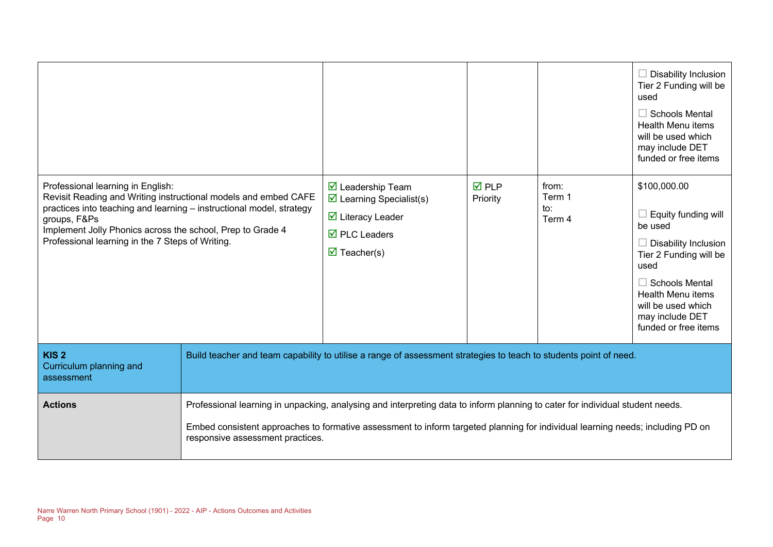|                                                                                                                                                                                                                                                                                                                |                                                                                                                                                                                                                                                                                                     |                                                                                                                                                                                             |                                |                                  | $\Box$ Disability Inclusion<br>Tier 2 Funding will be<br>used<br>$\Box$ Schools Mental<br><b>Health Menu items</b><br>will be used which<br>may include DET<br>funded or free items                                                   |
|----------------------------------------------------------------------------------------------------------------------------------------------------------------------------------------------------------------------------------------------------------------------------------------------------------------|-----------------------------------------------------------------------------------------------------------------------------------------------------------------------------------------------------------------------------------------------------------------------------------------------------|---------------------------------------------------------------------------------------------------------------------------------------------------------------------------------------------|--------------------------------|----------------------------------|---------------------------------------------------------------------------------------------------------------------------------------------------------------------------------------------------------------------------------------|
| Professional learning in English:<br>Revisit Reading and Writing instructional models and embed CAFE<br>practices into teaching and learning - instructional model, strategy<br>groups, F&Ps<br>Implement Jolly Phonics across the school, Prep to Grade 4<br>Professional learning in the 7 Steps of Writing. |                                                                                                                                                                                                                                                                                                     | $\triangleright$ Leadership Team<br>$\triangleright$ Learning Specialist(s)<br>$\triangleright$ Literacy Leader<br>$\overline{\boxtimes}$ PLC Leaders<br>$\overline{\mathbf{M}}$ Teacher(s) | $\overline{M}$ PLP<br>Priority | from:<br>Term 1<br>to:<br>Term 4 | \$100,000.00<br>$\Box$ Equity funding will<br>be used<br>$\Box$ Disability Inclusion<br>Tier 2 Funding will be<br>used<br>$\Box$ Schools Mental<br>Health Menu items<br>will be used which<br>may include DET<br>funded or free items |
| KIS <sub>2</sub><br>Curriculum planning and<br>assessment                                                                                                                                                                                                                                                      | Build teacher and team capability to utilise a range of assessment strategies to teach to students point of need.                                                                                                                                                                                   |                                                                                                                                                                                             |                                |                                  |                                                                                                                                                                                                                                       |
| <b>Actions</b>                                                                                                                                                                                                                                                                                                 | Professional learning in unpacking, analysing and interpreting data to inform planning to cater for individual student needs.<br>Embed consistent approaches to formative assessment to inform targeted planning for individual learning needs; including PD on<br>responsive assessment practices. |                                                                                                                                                                                             |                                |                                  |                                                                                                                                                                                                                                       |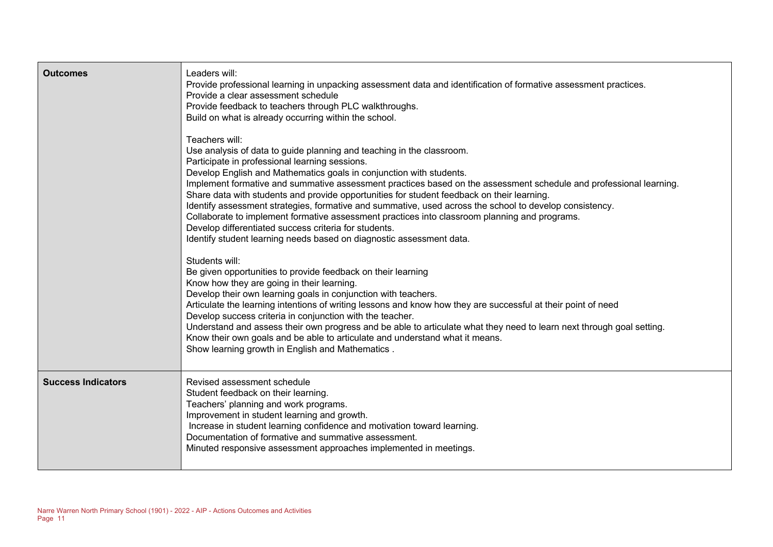| <b>Outcomes</b>           | Leaders will:<br>Provide professional learning in unpacking assessment data and identification of formative assessment practices.<br>Provide a clear assessment schedule<br>Provide feedback to teachers through PLC walkthroughs.<br>Build on what is already occurring within the school.<br>Teachers will:<br>Use analysis of data to guide planning and teaching in the classroom.<br>Participate in professional learning sessions.<br>Develop English and Mathematics goals in conjunction with students.<br>Implement formative and summative assessment practices based on the assessment schedule and professional learning.<br>Share data with students and provide opportunities for student feedback on their learning.<br>Identify assessment strategies, formative and summative, used across the school to develop consistency.<br>Collaborate to implement formative assessment practices into classroom planning and programs.<br>Develop differentiated success criteria for students.<br>Identify student learning needs based on diagnostic assessment data.<br>Students will:<br>Be given opportunities to provide feedback on their learning<br>Know how they are going in their learning. |
|---------------------------|------------------------------------------------------------------------------------------------------------------------------------------------------------------------------------------------------------------------------------------------------------------------------------------------------------------------------------------------------------------------------------------------------------------------------------------------------------------------------------------------------------------------------------------------------------------------------------------------------------------------------------------------------------------------------------------------------------------------------------------------------------------------------------------------------------------------------------------------------------------------------------------------------------------------------------------------------------------------------------------------------------------------------------------------------------------------------------------------------------------------------------------------------------------------------------------------------------------|
|                           | Develop their own learning goals in conjunction with teachers.<br>Articulate the learning intentions of writing lessons and know how they are successful at their point of need<br>Develop success criteria in conjunction with the teacher.<br>Understand and assess their own progress and be able to articulate what they need to learn next through goal setting.<br>Know their own goals and be able to articulate and understand what it means.<br>Show learning growth in English and Mathematics.                                                                                                                                                                                                                                                                                                                                                                                                                                                                                                                                                                                                                                                                                                        |
| <b>Success Indicators</b> | Revised assessment schedule<br>Student feedback on their learning.<br>Teachers' planning and work programs.<br>Improvement in student learning and growth.<br>Increase in student learning confidence and motivation toward learning.<br>Documentation of formative and summative assessment.<br>Minuted responsive assessment approaches implemented in meetings.                                                                                                                                                                                                                                                                                                                                                                                                                                                                                                                                                                                                                                                                                                                                                                                                                                               |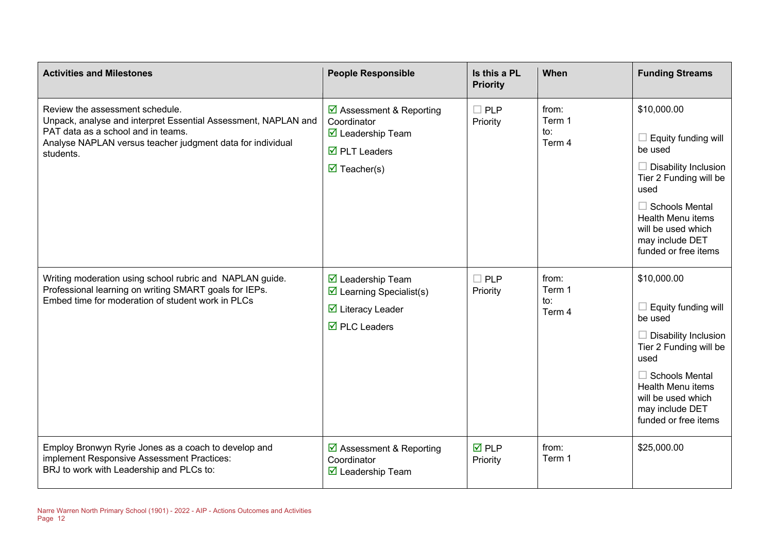| <b>Activities and Milestones</b>                                                                                                                                                                                   | <b>People Responsible</b>                                                                                                                               | Is this a PL<br><b>Priority</b> | When                             | <b>Funding Streams</b>                                                                                                                                                                                                        |
|--------------------------------------------------------------------------------------------------------------------------------------------------------------------------------------------------------------------|---------------------------------------------------------------------------------------------------------------------------------------------------------|---------------------------------|----------------------------------|-------------------------------------------------------------------------------------------------------------------------------------------------------------------------------------------------------------------------------|
| Review the assessment schedule.<br>Unpack, analyse and interpret Essential Assessment, NAPLAN and<br>PAT data as a school and in teams.<br>Analyse NAPLAN versus teacher judgment data for individual<br>students. | ☑ Assessment & Reporting<br>Coordinator<br>$\boxdot$ Leadership Team<br>$\overline{\mathbf{M}}$ PLT Leaders<br>$\triangledown$ Teacher(s)               | $\Box$ PLP<br>Priority          | from:<br>Term 1<br>to:<br>Term 4 | \$10,000.00<br>Equity funding will<br>be used<br>Disability Inclusion<br>Tier 2 Funding will be<br>used<br>$\Box$ Schools Mental<br><b>Health Menu items</b><br>will be used which<br>may include DET<br>funded or free items |
| Writing moderation using school rubric and NAPLAN guide.<br>Professional learning on writing SMART goals for IEPs.<br>Embed time for moderation of student work in PLCs                                            | $\boxtimes$ Leadership Team<br>$\triangleright$ Learning Specialist(s)<br>$\overline{\mathbf{M}}$ Literacy Leader<br>$\overline{\boxtimes}$ PLC Leaders | $\Box$ PLP<br>Priority          | from:<br>Term 1<br>to:<br>Term 4 | \$10,000.00<br>Equity funding will<br>be used<br>Disability Inclusion<br>Tier 2 Funding will be<br>used<br>$\Box$ Schools Mental<br><b>Health Menu items</b><br>will be used which<br>may include DET<br>funded or free items |
| Employ Bronwyn Ryrie Jones as a coach to develop and<br>implement Responsive Assessment Practices:<br>BRJ to work with Leadership and PLCs to:                                                                     | ☑ Assessment & Reporting<br>Coordinator<br>$\triangleright$ Leadership Team                                                                             | $\nabla$ PLP<br>Priority        | from:<br>Term 1                  | \$25,000.00                                                                                                                                                                                                                   |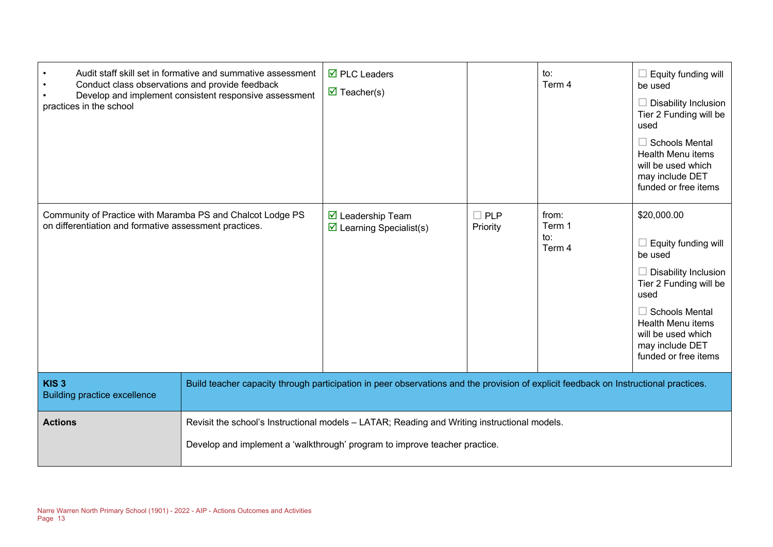| Conduct class observations and provide feedback<br>practices in the school                                           | Audit staff skill set in formative and summative assessment<br>Develop and implement consistent responsive assessment                                                      | $\overline{\boxtimes}$ PLC Leaders<br>$\triangledown$ Teacher(s)            |                        | to:<br>Term 4                    | Equity funding will<br>be used<br>Disability Inclusion<br>Tier 2 Funding will be<br>used<br><b>Schools Mental</b><br><b>Health Menu items</b><br>will be used which<br>may include DET<br>funded or free items                |  |
|----------------------------------------------------------------------------------------------------------------------|----------------------------------------------------------------------------------------------------------------------------------------------------------------------------|-----------------------------------------------------------------------------|------------------------|----------------------------------|-------------------------------------------------------------------------------------------------------------------------------------------------------------------------------------------------------------------------------|--|
| Community of Practice with Maramba PS and Chalcot Lodge PS<br>on differentiation and formative assessment practices. |                                                                                                                                                                            | $\triangleright$ Leadership Team<br>$\triangleright$ Learning Specialist(s) | <b>PLP</b><br>Priority | from:<br>Term 1<br>to:<br>Term 4 | \$20,000.00<br>Equity funding will<br>be used<br>Disability Inclusion<br>Tier 2 Funding will be<br>used<br><b>Schools Mental</b><br><b>Health Menu items</b><br>will be used which<br>may include DET<br>funded or free items |  |
| KIS <sub>3</sub><br><b>Building practice excellence</b>                                                              | Build teacher capacity through participation in peer observations and the provision of explicit feedback on Instructional practices.                                       |                                                                             |                        |                                  |                                                                                                                                                                                                                               |  |
| <b>Actions</b>                                                                                                       | Revisit the school's Instructional models - LATAR; Reading and Writing instructional models.<br>Develop and implement a 'walkthrough' program to improve teacher practice. |                                                                             |                        |                                  |                                                                                                                                                                                                                               |  |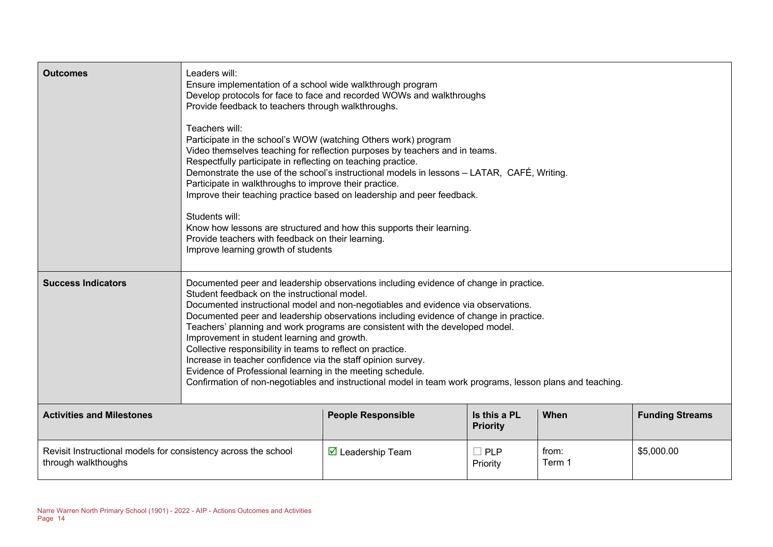| <b>Outcomes</b>                                                                       | Leaders will:<br>Ensure implementation of a school wide walkthrough program<br>Develop protocols for face to face and recorded WOWs and walkthroughs<br>Provide feedback to teachers through walkthroughs.<br>Teachers will:<br>Participate in the school's WOW (watching Others work) program<br>Video themselves teaching for reflection purposes by teachers and in teams.<br>Respectfully participate in reflecting on teaching practice.<br>Demonstrate the use of the school's instructional models in lessons - LATAR, CAFÉ, Writing.<br>Participate in walkthroughs to improve their practice.<br>Improve their teaching practice based on leadership and peer feedback.<br>Students will:<br>Know how lessons are structured and how this supports their learning.<br>Provide teachers with feedback on their learning.<br>Improve learning growth of students |                                         |                                 |                 |                        |
|---------------------------------------------------------------------------------------|-------------------------------------------------------------------------------------------------------------------------------------------------------------------------------------------------------------------------------------------------------------------------------------------------------------------------------------------------------------------------------------------------------------------------------------------------------------------------------------------------------------------------------------------------------------------------------------------------------------------------------------------------------------------------------------------------------------------------------------------------------------------------------------------------------------------------------------------------------------------------|-----------------------------------------|---------------------------------|-----------------|------------------------|
| <b>Success Indicators</b>                                                             | Documented peer and leadership observations including evidence of change in practice.<br>Student feedback on the instructional model.<br>Documented instructional model and non-negotiables and evidence via observations.<br>Documented peer and leadership observations including evidence of change in practice.<br>Teachers' planning and work programs are consistent with the developed model.<br>Improvement in student learning and growth.<br>Collective responsibility in teams to reflect on practice.<br>Increase in teacher confidence via the staff opinion survey.<br>Evidence of Professional learning in the meeting schedule.<br>Confirmation of non-negotiables and instructional model in team work programs, lesson plans and teaching.                                                                                                            |                                         |                                 |                 |                        |
| <b>Activities and Milestones</b>                                                      |                                                                                                                                                                                                                                                                                                                                                                                                                                                                                                                                                                                                                                                                                                                                                                                                                                                                         | <b>People Responsible</b>               | Is this a PL<br><b>Priority</b> | When            | <b>Funding Streams</b> |
| Revisit Instructional models for consistency across the school<br>through walkthoughs |                                                                                                                                                                                                                                                                                                                                                                                                                                                                                                                                                                                                                                                                                                                                                                                                                                                                         | $\overline{\mathbf{M}}$ Leadership Team | $\square$ PLP<br>Priority       | from:<br>Term 1 | \$5,000.00             |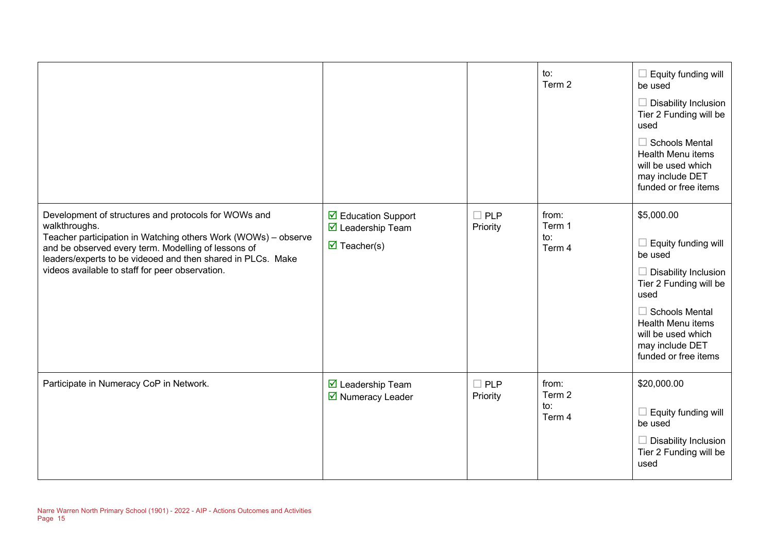|                                                                                                                                                                                                                                                                                                                  |                                                                                                      |                        | to:<br>Term 2                    | Equity funding will<br>be used<br><b>Disability Inclusion</b><br>Tier 2 Funding will be<br>used<br><b>Schools Mental</b><br>Health Menu items<br>will be used which<br>may include DET<br>funded or free items        |
|------------------------------------------------------------------------------------------------------------------------------------------------------------------------------------------------------------------------------------------------------------------------------------------------------------------|------------------------------------------------------------------------------------------------------|------------------------|----------------------------------|-----------------------------------------------------------------------------------------------------------------------------------------------------------------------------------------------------------------------|
| Development of structures and protocols for WOWs and<br>walkthroughs.<br>Teacher participation in Watching others Work (WOWs) - observe<br>and be observed every term. Modelling of lessons of<br>leaders/experts to be videoed and then shared in PLCs. Make<br>videos available to staff for peer observation. | ☑ Education Support<br>$\overline{\mathbf{z}}$ Leadership Team<br>$\overline{\mathbf{M}}$ Teacher(s) | <b>PLP</b><br>Priority | from:<br>Term 1<br>to:<br>Term 4 | \$5,000.00<br>Equity funding will<br>be used<br>Disability Inclusion<br>Tier 2 Funding will be<br>used<br><b>Schools Mental</b><br>Health Menu items<br>will be used which<br>may include DET<br>funded or free items |
| Participate in Numeracy CoP in Network.                                                                                                                                                                                                                                                                          | ☑ Leadership Team<br>■ Numeracy Leader                                                               | $\Box$ PLP<br>Priority | from:<br>Term 2<br>to:<br>Term 4 | \$20,000.00<br>Equity funding will<br>$\overline{\phantom{a}}$<br>be used<br><b>Disability Inclusion</b><br>Tier 2 Funding will be<br>used                                                                            |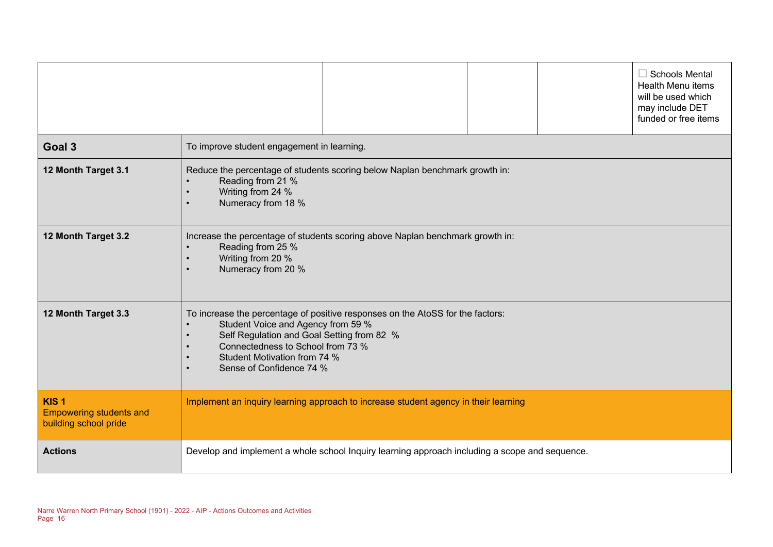|                                                                             | $\Box$ Schools Mental<br>Health Menu items<br>will be used which<br>may include DET<br>funded or free items                                                                                                                                                                      |  |  |  |  |
|-----------------------------------------------------------------------------|----------------------------------------------------------------------------------------------------------------------------------------------------------------------------------------------------------------------------------------------------------------------------------|--|--|--|--|
| Goal 3                                                                      | To improve student engagement in learning.                                                                                                                                                                                                                                       |  |  |  |  |
| 12 Month Target 3.1                                                         | Reduce the percentage of students scoring below Naplan benchmark growth in:<br>Reading from 21 %<br>Writing from 24 %<br>$\bullet$<br>Numeracy from 18 %<br>$\bullet$                                                                                                            |  |  |  |  |
| 12 Month Target 3.2                                                         | Increase the percentage of students scoring above Naplan benchmark growth in:<br>Reading from 25 %<br>Writing from 20 %<br>$\bullet$<br>Numeracy from 20 %<br>$\bullet$                                                                                                          |  |  |  |  |
| 12 Month Target 3.3                                                         | To increase the percentage of positive responses on the AtoSS for the factors:<br>Student Voice and Agency from 59 %<br>Self Regulation and Goal Setting from 82 %<br>$\bullet$<br>Connectedness to School from 73 %<br>Student Motivation from 74 %<br>Sense of Confidence 74 % |  |  |  |  |
| KIS <sub>1</sub><br><b>Empowering students and</b><br>building school pride | Implement an inquiry learning approach to increase student agency in their learning                                                                                                                                                                                              |  |  |  |  |
| <b>Actions</b>                                                              | Develop and implement a whole school Inquiry learning approach including a scope and sequence.                                                                                                                                                                                   |  |  |  |  |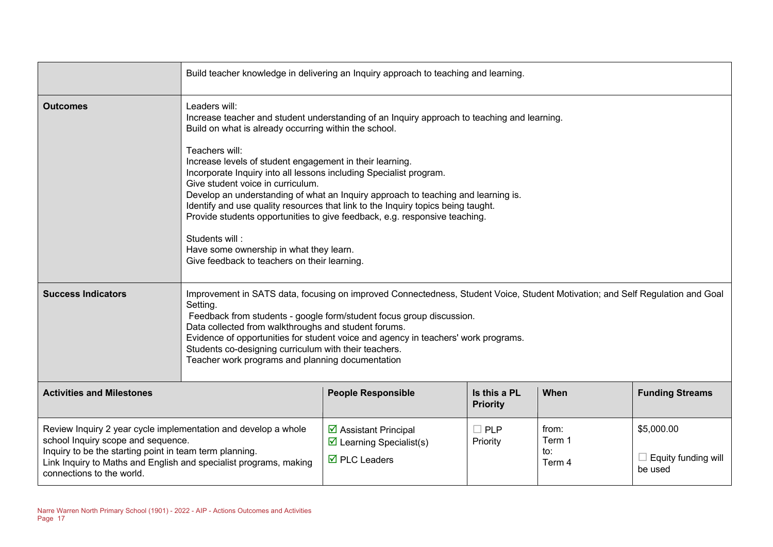|                                                                                                                                                                                                                                                                   | Build teacher knowledge in delivering an Inquiry approach to teaching and learning.                                                                                                                                                                                                                                                                                                                                                                                                                                                                                                                                                                                                                                                |                                                                                                                       |                                 |                                  |                                                     |
|-------------------------------------------------------------------------------------------------------------------------------------------------------------------------------------------------------------------------------------------------------------------|------------------------------------------------------------------------------------------------------------------------------------------------------------------------------------------------------------------------------------------------------------------------------------------------------------------------------------------------------------------------------------------------------------------------------------------------------------------------------------------------------------------------------------------------------------------------------------------------------------------------------------------------------------------------------------------------------------------------------------|-----------------------------------------------------------------------------------------------------------------------|---------------------------------|----------------------------------|-----------------------------------------------------|
| <b>Outcomes</b>                                                                                                                                                                                                                                                   | Leaders will:<br>Increase teacher and student understanding of an Inquiry approach to teaching and learning.<br>Build on what is already occurring within the school.<br>Teachers will:<br>Increase levels of student engagement in their learning.<br>Incorporate Inquiry into all lessons including Specialist program.<br>Give student voice in curriculum.<br>Develop an understanding of what an Inquiry approach to teaching and learning is.<br>Identify and use quality resources that link to the Inquiry topics being taught.<br>Provide students opportunities to give feedback, e.g. responsive teaching.<br>Students will:<br>Have some ownership in what they learn.<br>Give feedback to teachers on their learning. |                                                                                                                       |                                 |                                  |                                                     |
| <b>Success Indicators</b><br><b>Activities and Milestones</b>                                                                                                                                                                                                     | Improvement in SATS data, focusing on improved Connectedness, Student Voice, Student Motivation; and Self Regulation and Goal<br>Setting.<br>Feedback from students - google form/student focus group discussion.<br>Data collected from walkthroughs and student forums.<br>Evidence of opportunities for student voice and agency in teachers' work programs.<br>Students co-designing curriculum with their teachers.<br>Teacher work programs and planning documentation                                                                                                                                                                                                                                                       |                                                                                                                       |                                 |                                  |                                                     |
|                                                                                                                                                                                                                                                                   |                                                                                                                                                                                                                                                                                                                                                                                                                                                                                                                                                                                                                                                                                                                                    | <b>People Responsible</b>                                                                                             | Is this a PL<br><b>Priority</b> | When                             | <b>Funding Streams</b>                              |
| Review Inquiry 2 year cycle implementation and develop a whole<br>school Inquiry scope and sequence.<br>Inquiry to be the starting point in team term planning.<br>Link Inquiry to Maths and English and specialist programs, making<br>connections to the world. |                                                                                                                                                                                                                                                                                                                                                                                                                                                                                                                                                                                                                                                                                                                                    | $\triangleright$ Assistant Principal<br>$\triangleright$ Learning Specialist(s)<br>$\overline{\boxtimes}$ PLC Leaders | $\Box$ PLP<br>Priority          | from:<br>Term 1<br>to:<br>Term 4 | \$5,000.00<br>$\Box$ Equity funding will<br>be used |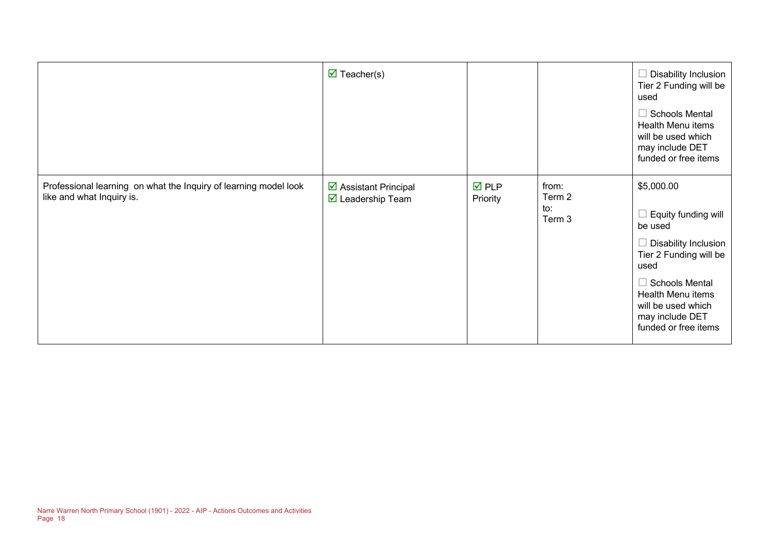|                                                                                               | $\triangledown$ Teacher(s)                                       |                                |                                  | Disability Inclusion<br>Tier 2 Funding will be<br>used<br><b>Schools Mental</b><br>Health Menu items<br>will be used which<br>may include DET<br>funded or free items                                                 |
|-----------------------------------------------------------------------------------------------|------------------------------------------------------------------|--------------------------------|----------------------------------|-----------------------------------------------------------------------------------------------------------------------------------------------------------------------------------------------------------------------|
| Professional learning on what the Inquiry of learning model look<br>like and what Inquiry is. | ☑ Assistant Principal<br>$\overline{\mathbf{y}}$ Leadership Team | $\overline{M}$ PLP<br>Priority | from:<br>Term 2<br>to:<br>Term 3 | \$5,000.00<br>Equity funding will<br>be used<br>Disability Inclusion<br>Tier 2 Funding will be<br>used<br><b>Schools Mental</b><br>Health Menu items<br>will be used which<br>may include DET<br>funded or free items |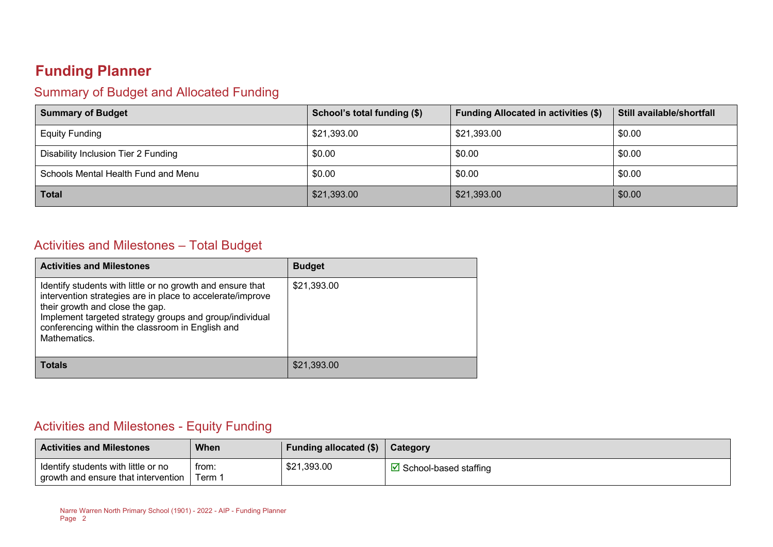# **Funding Planner**

## Summary of Budget and Allocated Funding

| <b>Summary of Budget</b>            | School's total funding (\$) | <b>Funding Allocated in activities (\$)</b> | <b>Still available/shortfall</b> |
|-------------------------------------|-----------------------------|---------------------------------------------|----------------------------------|
| <b>Equity Funding</b>               | \$21,393.00                 | \$21,393.00                                 | \$0.00                           |
| Disability Inclusion Tier 2 Funding | \$0.00                      | \$0.00                                      | \$0.00                           |
| Schools Mental Health Fund and Menu | \$0.00                      | \$0.00                                      | \$0.00                           |
| <b>Total</b>                        | \$21,393.00                 | \$21,393.00                                 | \$0.00                           |

#### Activities and Milestones – Total Budget

| <b>Activities and Milestones</b>                                                                                                                                                                                                                                                           | <b>Budget</b> |
|--------------------------------------------------------------------------------------------------------------------------------------------------------------------------------------------------------------------------------------------------------------------------------------------|---------------|
| Identify students with little or no growth and ensure that<br>intervention strategies are in place to accelerate/improve<br>their growth and close the gap.<br>Implement targeted strategy groups and group/individual<br>conferencing within the classroom in English and<br>Mathematics. | \$21,393.00   |
| Totals                                                                                                                                                                                                                                                                                     | \$21,393.00   |

#### Activities and Milestones - Equity Funding

| <b>Activities and Milestones</b>                                           | <b>When</b>   | Funding allocated $(\$)$ | <b>Category</b>                   |
|----------------------------------------------------------------------------|---------------|--------------------------|-----------------------------------|
| Identify students with little or no<br>growth and ensure that intervention | trom:<br>Term | \$21,393.00              | $\boxtimes$ School-based staffing |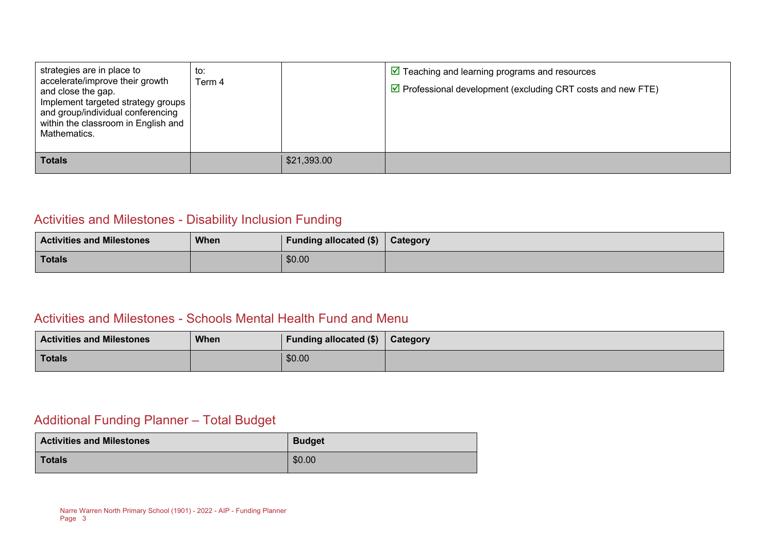| strategies are in place to<br>accelerate/improve their growth<br>and close the gap.<br>Implement targeted strategy groups<br>and group/individual conferencing<br>within the classroom in English and<br>Mathematics. | to:<br>Term 4 |             | $\triangleright$ Teaching and learning programs and resources<br>$\triangledown$ Professional development (excluding CRT costs and new FTE) |
|-----------------------------------------------------------------------------------------------------------------------------------------------------------------------------------------------------------------------|---------------|-------------|---------------------------------------------------------------------------------------------------------------------------------------------|
| <b>Totals</b>                                                                                                                                                                                                         |               | \$21,393.00 |                                                                                                                                             |

## Activities and Milestones - Disability Inclusion Funding

| <b>Activities and Milestones</b> | <b>When</b> | <b>Funding allocated (\$)</b> | <b>Category</b> |
|----------------------------------|-------------|-------------------------------|-----------------|
| <b>Totals</b>                    |             | \$0.00                        |                 |

#### Activities and Milestones - Schools Mental Health Fund and Menu

| <b>Activities and Milestones</b> | <b>When</b> | Funding allocated $(\$)$   Category |  |
|----------------------------------|-------------|-------------------------------------|--|
| <b>Totals</b>                    |             | \$0.00                              |  |

#### Additional Funding Planner – Total Budget

| <b>Activities and Milestones</b> | <b>Budget</b> |
|----------------------------------|---------------|
| Totals                           | \$0.00        |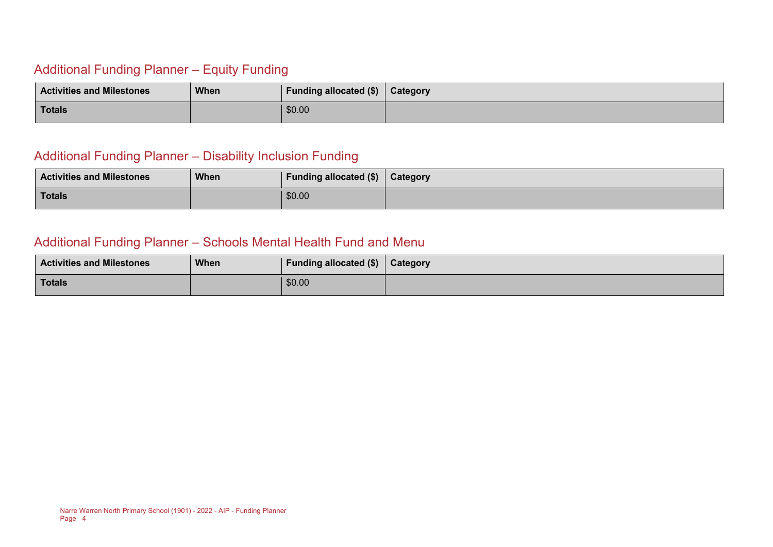## Additional Funding Planner – Equity Funding

| <b>Activities and Milestones</b> | <b>When</b> | <b>Funding allocated (\$)</b> | Category |
|----------------------------------|-------------|-------------------------------|----------|
| <b>Totals</b>                    |             | \$0.00                        |          |

#### Additional Funding Planner – Disability Inclusion Funding

| <b>Activities and Milestones</b> | <b>When</b> | Funding allocated $(\$)$ $\ $ Category |  |
|----------------------------------|-------------|----------------------------------------|--|
| Totals                           |             | \$0.00                                 |  |

#### Additional Funding Planner – Schools Mental Health Fund and Menu

| <b>Activities and Milestones</b> | <b>When</b> | Funding allocated (\$) | <b>Category</b> |
|----------------------------------|-------------|------------------------|-----------------|
| Totals                           |             | \$0.00                 |                 |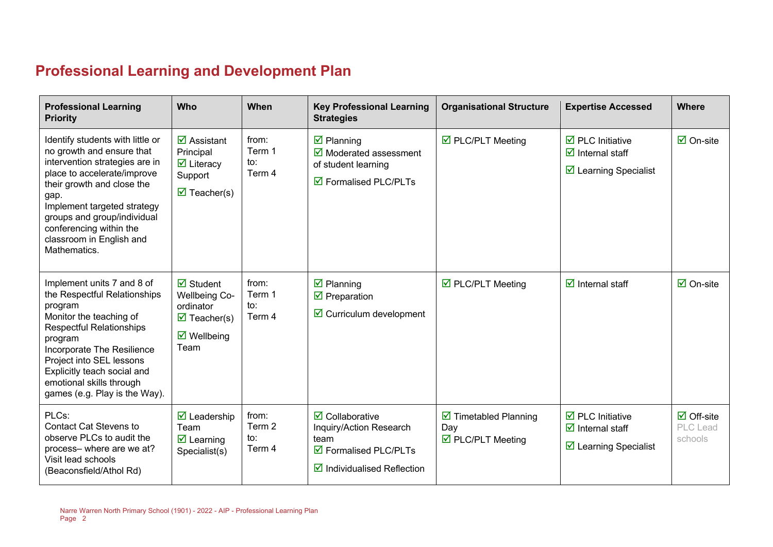# **Professional Learning and Development Plan**

| <b>Professional Learning</b><br><b>Priority</b>                                                                                                                                                                                                                                                           | Who                                                                                                                                 | When                                        | <b>Key Professional Learning</b><br><b>Strategies</b>                                                                                      | <b>Organisational Structure</b>                                                       | <b>Expertise Accessed</b>                                                                                                | <b>Where</b>                              |
|-----------------------------------------------------------------------------------------------------------------------------------------------------------------------------------------------------------------------------------------------------------------------------------------------------------|-------------------------------------------------------------------------------------------------------------------------------------|---------------------------------------------|--------------------------------------------------------------------------------------------------------------------------------------------|---------------------------------------------------------------------------------------|--------------------------------------------------------------------------------------------------------------------------|-------------------------------------------|
| Identify students with little or<br>no growth and ensure that<br>intervention strategies are in<br>place to accelerate/improve<br>their growth and close the<br>gap.<br>Implement targeted strategy<br>groups and group/individual<br>conferencing within the<br>classroom in English and<br>Mathematics. | $\overline{\mathbf{M}}$ Assistant<br>Principal<br>$\overline{\mathbf{y}}$ Literacy<br>Support<br>$\overline{\mathbf{M}}$ Teacher(s) | from:<br>Term 1<br>to:<br>Term 4            | $\overline{\mathbf{z}}$ Planning<br>$\overline{\mathbf{y}}$ Moderated assessment<br>of student learning<br>$\boxtimes$ Formalised PLC/PLTs | ☑ PLC/PLT Meeting                                                                     | $\overline{\mathbf{2}}$ PLC Initiative<br>$\overline{\mathbf{y}}$ Internal staff<br>$\triangleright$ Learning Specialist | $\boxtimes$ On-site                       |
| Implement units 7 and 8 of<br>the Respectful Relationships<br>program<br>Monitor the teaching of<br><b>Respectful Relationships</b><br>program<br>Incorporate The Resilience<br>Project into SEL lessons<br>Explicitly teach social and<br>emotional skills through<br>games (e.g. Play is the Way).      | $\overline{\mathbf{z}}$ Student<br><b>Wellbeing Co-</b><br>ordinator<br>$\triangledown$ Teacher(s)<br>$\boxtimes$ Wellbeing<br>Team | from:<br>Term 1<br>$\mathsf{to}:$<br>Term 4 | $\overline{\mathbf{z}}$ Planning<br>$\overline{\mathbf{M}}$ Preparation<br>$\triangleright$ Curriculum development                         | $\triangledown$ PLC/PLT Meeting                                                       | $\overline{\mathbf{d}}$ Internal staff                                                                                   | $\boxtimes$ On-site                       |
| PLCs:<br><b>Contact Cat Stevens to</b><br>observe PLCs to audit the<br>process-where are we at?<br>Visit lead schools<br>(Beaconsfield/Athol Rd)                                                                                                                                                          | $\triangledown$ Leadership<br>Team<br>$\overline{\mathbf{z}}$ Learning<br>Specialist(s)                                             | from:<br>Term 2<br>to:<br>Term 4            | $\overline{\mathbf{2}}$ Collaborative<br>Inquiry/Action Research<br>team<br>☑ Formalised PLC/PLTs<br>$\boxtimes$ Individualised Reflection | $\overline{\mathbf{2}}$ Timetabled Planning<br>Day<br>$\triangledown$ PLC/PLT Meeting | $\overline{\boxtimes}$ PLC Initiative<br>$\overline{\mathbf{z}}$ Internal staff<br>☑ Learning Specialist                 | $\boxdot$ Off-site<br>PLC Lead<br>schools |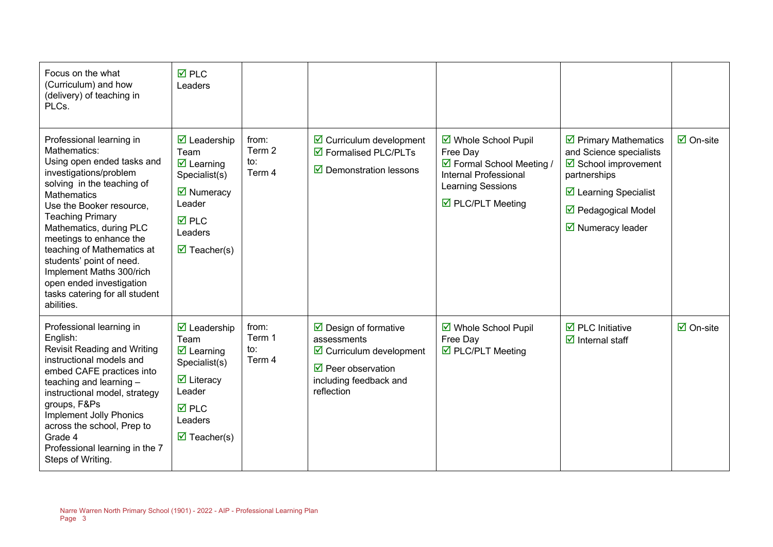| Focus on the what<br>(Curriculum) and how<br>(delivery) of teaching in<br>PLCs.                                                                                                                                                                                                                                                                                                                                                     | <b>☑</b> PLC<br>Leaders                                                                                                                                                                                        |                                             |                                                                                                                                                                       |                                                                                                                                  |                                                                                                                                                                                                                                 |                                 |
|-------------------------------------------------------------------------------------------------------------------------------------------------------------------------------------------------------------------------------------------------------------------------------------------------------------------------------------------------------------------------------------------------------------------------------------|----------------------------------------------------------------------------------------------------------------------------------------------------------------------------------------------------------------|---------------------------------------------|-----------------------------------------------------------------------------------------------------------------------------------------------------------------------|----------------------------------------------------------------------------------------------------------------------------------|---------------------------------------------------------------------------------------------------------------------------------------------------------------------------------------------------------------------------------|---------------------------------|
| Professional learning in<br>Mathematics:<br>Using open ended tasks and<br>investigations/problem<br>solving in the teaching of<br><b>Mathematics</b><br>Use the Booker resource.<br><b>Teaching Primary</b><br>Mathematics, during PLC<br>meetings to enhance the<br>teaching of Mathematics at<br>students' point of need.<br>Implement Maths 300/rich<br>open ended investigation<br>tasks catering for all student<br>abilities. | $\overline{\mathbf{2}}$ Leadership<br>Team<br>$\overline{\mathbf{z}}$ Learning<br>Specialist(s)<br>$\overline{\mathbf{M}}$ Numeracy<br>Leader<br><b>☑</b> PLC<br>Leaders<br>$\overline{\mathbf{M}}$ Teacher(s) | from:<br>Term 2<br>to:<br>Term 4            | $\triangleright$ Curriculum development<br>☑ Formalised PLC/PLTs<br>$\triangleright$ Demonstration lessons                                                            | ☑ Whole School Pupil<br>Free Day<br>☑ Formal School Meeting /<br>Internal Professional<br>Learning Sessions<br>☑ PLC/PLT Meeting | $\triangleright$ Primary Mathematics<br>and Science specialists<br>$\overline{\mathbf{M}}$ School improvement<br>partnerships<br>$\triangleright$ Learning Specialist<br>☑ Pedagogical Model<br>$\triangledown$ Numeracy leader | $\overline{\boxtimes}$ On-site  |
| Professional learning in<br>English:<br><b>Revisit Reading and Writing</b><br>instructional models and<br>embed CAFE practices into<br>teaching and learning -<br>instructional model, strategy<br>groups, F&Ps<br>Implement Jolly Phonics<br>across the school, Prep to<br>Grade 4<br>Professional learning in the 7<br>Steps of Writing.                                                                                          | $\overline{\mathbf{2}}$ Leadership<br>Team<br>$\overline{\mathbf{z}}$ Learning<br>Specialist(s)<br>$\overline{\mathbf{y}}$ Literacy<br>Leader<br><b>☑</b> PLC<br>Leaders<br>$\overline{\mathbf{M}}$ Teacher(s) | from:<br>Term 1<br>$\mathsf{to}:$<br>Term 4 | $\triangleright$ Design of formative<br>assessments<br>$\boxtimes$ Curriculum development<br>$\triangledown$ Peer observation<br>including feedback and<br>reflection | ☑ Whole School Pupil<br>Free Day<br>☑ PLC/PLT Meeting                                                                            | $\overline{\mathbf{M}}$ PLC Initiative<br>$\overline{\mathbf{y}}$ Internal staff                                                                                                                                                | $\overline{\mathsf{M}}$ On-site |